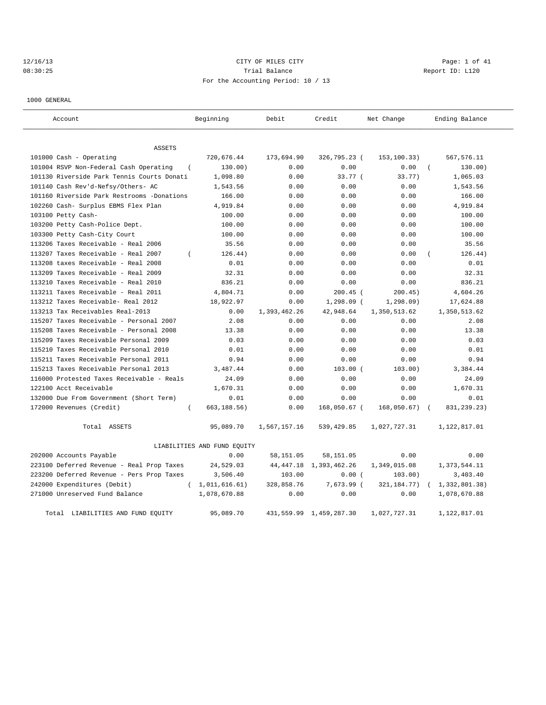# 12/16/13 CITY OF MILES CITY Page: 1 of 41 08:30:25 Report ID: L120 For the Accounting Period: 10 / 13

1000 GENERAL

| Account                                                                        | Beginning                   | Debit        | Credit                     | Net Change           | Ending Balance        |
|--------------------------------------------------------------------------------|-----------------------------|--------------|----------------------------|----------------------|-----------------------|
|                                                                                |                             |              |                            |                      |                       |
| <b>ASSETS</b><br>101000 Cash - Operating                                       | 720,676.44                  | 173,694.90   | 326,795.23 (               | 153,100.33)          | 567,576.11            |
| 101004 RSVP Non-Federal Cash Operating                                         | 130.00)                     | 0.00         | 0.00                       | 0.00                 | 130.00)<br>$\left($   |
| 101130 Riverside Park Tennis Courts Donati                                     | 1,098.80                    | 0.00         | 33.77 (                    | 33.77)               | 1,065.03              |
| 101140 Cash Rev'd-Nefsy/Others- AC                                             | 1,543.56                    | 0.00         | 0.00                       | 0.00                 | 1,543.56              |
| 101160 Riverside Park Restrooms -Donations                                     | 166.00                      | 0.00         | 0.00                       | 0.00                 | 166.00                |
| 102260 Cash- Surplus EBMS Flex Plan                                            | 4,919.84                    | 0.00         | 0.00                       | 0.00                 | 4,919.84              |
| 103100 Petty Cash-                                                             | 100.00                      | 0.00         | 0.00                       | 0.00                 | 100.00                |
| 103200 Petty Cash-Police Dept.                                                 | 100.00                      | 0.00         | 0.00                       | 0.00                 | 100.00                |
| 103300 Petty Cash-City Court                                                   | 100.00                      | 0.00         | 0.00                       | 0.00                 | 100.00                |
| 113206 Taxes Receivable - Real 2006                                            | 35.56                       | 0.00         | 0.00                       | 0.00                 | 35.56                 |
| 113207 Taxes Receivable - Real 2007<br>$\overline{(\ }$                        | 126.44)                     | 0.00         | 0.00                       | 0.00                 | 126.44)               |
| 113208 taxes Receivable - Real 2008                                            | 0.01                        | 0.00         | 0.00                       | 0.00                 | 0.01                  |
| 113209 Taxes Receivable - Real 2009                                            | 32.31                       | 0.00         | 0.00                       | 0.00                 | 32.31                 |
| 113210 Taxes Receivable - Real 2010                                            |                             |              |                            | 0.00                 | 836.21                |
|                                                                                | 836.21                      | 0.00         | 0.00                       |                      |                       |
| 113211 Taxes Receivable - Real 2011<br>113212 Taxes Receivable- Real 2012      | 4,804.71<br>18,922.97       | 0.00<br>0.00 | $200.45$ (<br>$1,298.09$ ( | 200.45)<br>1, 298.09 | 4,604.26<br>17,624.88 |
| 113213 Tax Receivables Real-2013                                               | 0.00                        | 1,393,462.26 | 42,948.64                  | 1,350,513.62         | 1,350,513.62          |
| 115207 Taxes Receivable - Personal 2007                                        | 2.08                        | 0.00         | 0.00                       | 0.00                 | 2.08                  |
|                                                                                |                             |              |                            |                      |                       |
| 115208 Taxes Receivable - Personal 2008                                        | 13.38                       | 0.00         | 0.00                       | 0.00                 | 13.38                 |
| 115209 Taxes Receivable Personal 2009<br>115210 Taxes Receivable Personal 2010 | 0.03                        | 0.00         | 0.00                       | 0.00<br>0.00         | 0.03                  |
|                                                                                | 0.01                        | 0.00         | 0.00                       |                      | 0.01                  |
| 115211 Taxes Receivable Personal 2011                                          | 0.94                        | 0.00         | 0.00                       | 0.00                 | 0.94                  |
| 115213 Taxes Receivable Personal 2013                                          | 3,487.44                    | 0.00         | $103.00$ (                 | 103.00)              | 3,384.44              |
| 116000 Protested Taxes Receivable - Reals                                      | 24.09                       | 0.00         | 0.00                       | 0.00                 | 24.09                 |
| 122100 Acct Receivable                                                         | 1,670.31                    | 0.00         | 0.00                       | 0.00                 | 1,670.31              |
| 132000 Due From Government (Short Term)                                        | 0.01                        | 0.00         | 0.00                       | 0.00                 | 0.01                  |
| 172000 Revenues (Credit)                                                       | 663, 188.56)<br>$\left($    | 0.00         | 168,050.67 (               | 168,050.67)          | 831, 239. 23)         |
| Total ASSETS                                                                   | 95,089.70                   | 1,567,157.16 | 539, 429.85                | 1,027,727.31         | 1,122,817.01          |
|                                                                                | LIABILITIES AND FUND EQUITY |              |                            |                      |                       |
| 202000 Accounts Payable                                                        | 0.00                        | 58,151.05    | 58, 151.05                 | 0.00                 | 0.00                  |
| 223100 Deferred Revenue - Real Prop Taxes                                      | 24,529.03                   | 44,447.18    | 1,393,462.26               | 1,349,015.08         | 1,373,544.11          |
| 223200 Deferred Revenue - Pers Prop Taxes                                      | 3,506.40                    | 103.00       | 0.00(                      | 103.00)              | 3,403.40              |
| 242000 Expenditures (Debit)                                                    | 1,011,616.61)<br>$\left($   | 328,858.76   | 7,673.99 (                 | 321, 184. 77)        | 1,332,801.38)         |
| 271000 Unreserved Fund Balance                                                 | 1,078,670.88                | 0.00         | 0.00                       | 0.00                 | 1,078,670.88          |
| Total LIABILITIES AND FUND EQUITY                                              | 95,089.70                   |              | 431,559.99 1,459,287.30    | 1,027,727.31         | 1,122,817.01          |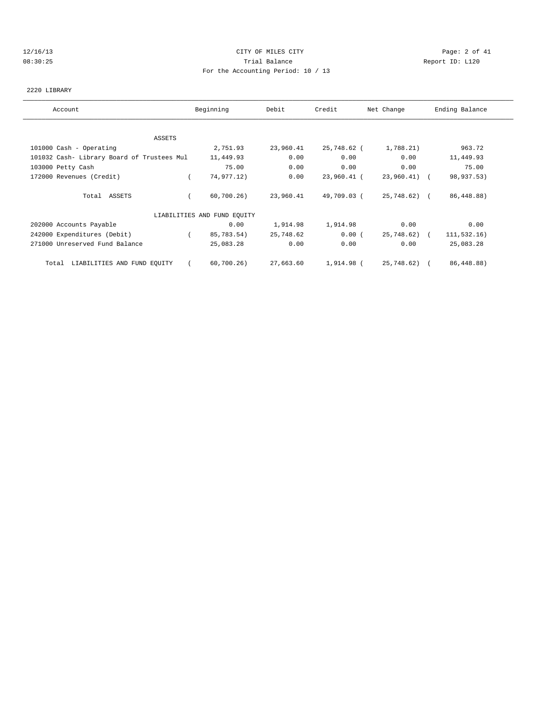# 12/16/13 CITY OF MILES CITY Page: 2 of 41 08:30:25 Trial Balance Report ID: L120 For the Accounting Period: 10 / 13

#### 2220 LIBRARY

| Account                                    | Beginning                   | Debit     | Credit      | Net Change   | Ending Balance |
|--------------------------------------------|-----------------------------|-----------|-------------|--------------|----------------|
|                                            |                             |           |             |              |                |
| ASSETS                                     |                             |           |             |              |                |
| 101000 Cash - Operating                    | 2,751.93                    | 23,960.41 | 25,748.62 ( | 1,788.21)    | 963.72         |
| 101032 Cash- Library Board of Trustees Mul | 11,449.93                   | 0.00      | 0.00        | 0.00         | 11,449.93      |
| 103000 Petty Cash                          | 75.00                       | 0.00      | 0.00        | 0.00         | 75.00          |
| 172000 Revenues (Credit)                   | 74,977.12)                  | 0.00      | 23,960.41 ( | 23,960.41) ( | 98,937.53)     |
| Total ASSETS                               | 60,700.26                   | 23,960.41 | 49,709.03 ( | 25,748.62) ( | 86,448.88)     |
|                                            | LIABILITIES AND FUND EQUITY |           |             |              |                |
| 202000 Accounts Payable                    | 0.00                        | 1,914.98  | 1,914.98    | 0.00         | 0.00           |
| 242000 Expenditures (Debit)                | 85,783.54)                  | 25,748.62 | 0.00(       | 25,748.62) ( | 111, 532.16)   |
| 271000 Unreserved Fund Balance             | 25,083.28                   | 0.00      | 0.00        | 0.00         | 25,083.28      |
| LIABILITIES AND FUND EQUITY<br>Total       | 60,700.26                   | 27,663.60 | 1,914.98 (  | 25,748.62) ( | 86,448.88)     |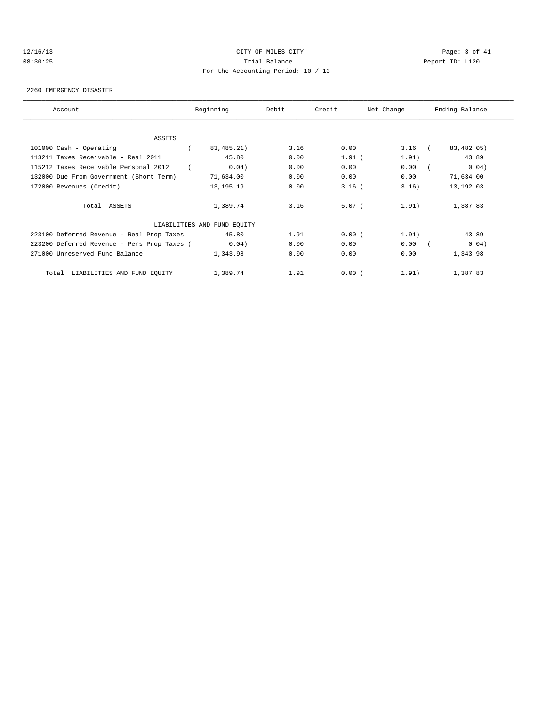# 12/16/13 CITY OF MILES CITY Page: 3 of 41 08:30:25 Trial Balance Report ID: L120 For the Accounting Period: 10 / 13

#### 2260 EMERGENCY DISASTER

| Account                                     | Beginning                   | Debit | Credit   | Net Change | Ending Balance |
|---------------------------------------------|-----------------------------|-------|----------|------------|----------------|
|                                             |                             |       |          |            |                |
| ASSETS                                      |                             |       |          |            |                |
| 101000 Cash - Operating                     | 83,485.21)                  | 3.16  | 0.00     | $3.16$ (   | 83,482.05)     |
| 113211 Taxes Receivable - Real 2011         | 45.80                       | 0.00  | $1.91$ ( | 1.91)      | 43.89          |
| 115212 Taxes Receivable Personal 2012       | 0.04)                       | 0.00  | 0.00     | 0.00       | 0.04)          |
| 132000 Due From Government (Short Term)     | 71,634.00                   | 0.00  | 0.00     | 0.00       | 71,634.00      |
| 172000 Revenues (Credit)                    | 13, 195. 19                 | 0.00  | $3.16$ ( | 3.16)      | 13, 192.03     |
| Total ASSETS                                | 1,389.74                    | 3.16  | $5.07$ ( | 1.91)      | 1,387.83       |
|                                             | LIABILITIES AND FUND EQUITY |       |          |            |                |
| 223100 Deferred Revenue - Real Prop Taxes   | 45.80                       | 1.91  | 0.00(    | 1.91)      | 43.89          |
| 223200 Deferred Revenue - Pers Prop Taxes ( | 0.04)                       | 0.00  | 0.00     | 0.00       | 0.04)          |
| 271000 Unreserved Fund Balance              | 1,343.98                    | 0.00  | 0.00     | 0.00       | 1,343.98       |
| Total LIABILITIES AND FUND EQUITY           | 1,389.74                    | 1.91  | 0.00(    | 1.91)      | 1,387.83       |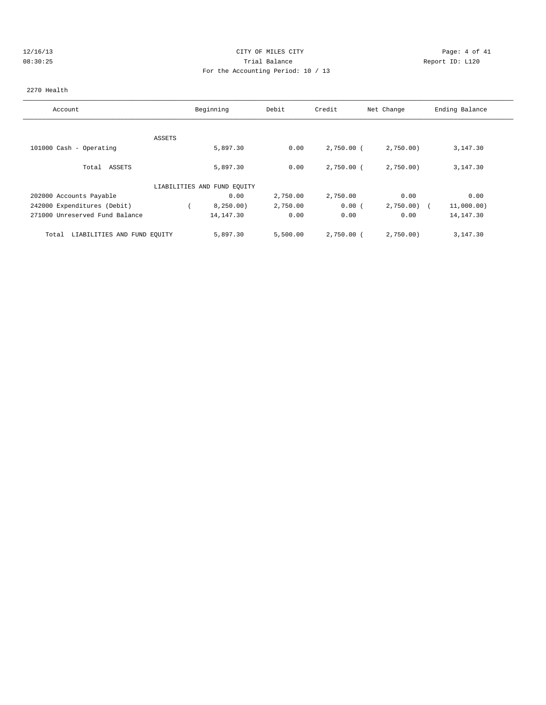# 12/16/13 CITY OF MILES CITY Page: 4 of 41 08:30:25 Trial Balance Report ID: L120 For the Accounting Period: 10 / 13

## 2270 Health

| Account                              |        | Beginning                   | Debit    | Credit       | Net Change   | Ending Balance |
|--------------------------------------|--------|-----------------------------|----------|--------------|--------------|----------------|
|                                      | ASSETS |                             |          |              |              |                |
| 101000 Cash - Operating              |        | 5,897.30                    | 0.00     | $2,750.00$ ( | 2,750.00     | 3,147.30       |
| Total ASSETS                         |        | 5,897.30                    | 0.00     | $2,750.00$ ( | 2,750.00     | 3,147.30       |
|                                      |        | LIABILITIES AND FUND EQUITY |          |              |              |                |
| 202000 Accounts Payable              |        | 0.00                        | 2,750.00 | 2,750.00     | 0.00         | 0.00           |
| 242000 Expenditures (Debit)          |        | 8,250.00)                   | 2,750.00 | 0.00(        | $2,750.00$ ( | 11,000.00)     |
| 271000 Unreserved Fund Balance       |        | 14, 147.30                  | 0.00     | 0.00         | 0.00         | 14, 147.30     |
| LIABILITIES AND FUND EQUITY<br>Total |        | 5,897.30                    | 5,500.00 | 2,750.00 (   | 2,750.00)    | 3,147.30       |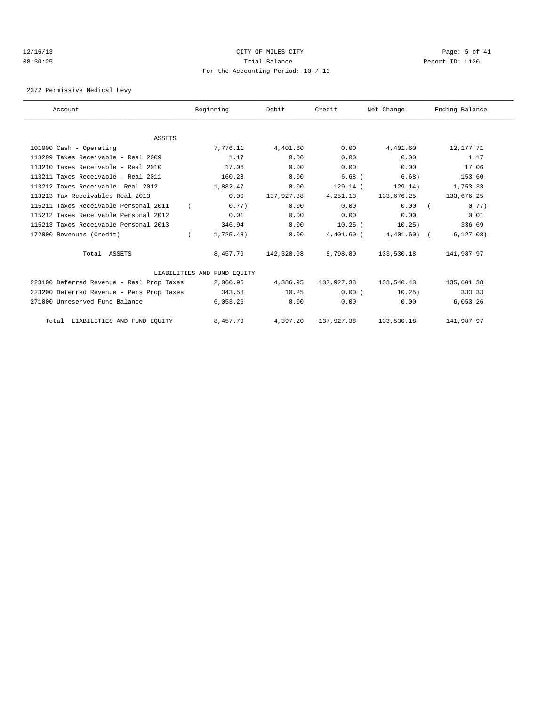# 12/16/13 CITY OF MILES CITY Page: 5 of 41 08:30:25 Trial Balance Report ID: L120 For the Accounting Period: 10 / 13

2372 Permissive Medical Levy

| Account                                   | Beginning                   | Debit      | Credit       | Net Change   | Ending Balance |      |
|-------------------------------------------|-----------------------------|------------|--------------|--------------|----------------|------|
|                                           |                             |            |              |              |                |      |
| <b>ASSETS</b>                             |                             |            |              |              |                |      |
| 101000 Cash - Operating                   | 7,776.11                    | 4,401.60   | 0.00         | 4,401.60     | 12,177.71      |      |
| 113209 Taxes Receivable - Real 2009       | 1.17                        | 0.00       | 0.00         | 0.00         |                | 1.17 |
| 113210 Taxes Receivable - Real 2010       | 17.06                       | 0.00       | 0.00         | 0.00         | 17.06          |      |
| 113211 Taxes Receivable - Real 2011       | 160.28                      | 0.00       | $6.68$ (     | 6.68)        | 153.60         |      |
| 113212 Taxes Receivable- Real 2012        | 1,882.47                    | 0.00       | 129.14(      | 129.14)      | 1,753.33       |      |
| 113213 Tax Receivables Real-2013          | 0.00                        | 137,927.38 | 4, 251.13    | 133,676.25   | 133,676.25     |      |
| 115211 Taxes Receivable Personal 2011     | 0.77)                       | 0.00       | 0.00         | 0.00         |                | 0.77 |
| 115212 Taxes Receivable Personal 2012     | 0.01                        | 0.00       | 0.00         | 0.00         |                | 0.01 |
| 115213 Taxes Receivable Personal 2013     | 346.94                      | 0.00       | $10.25$ (    | 10.25)       | 336.69         |      |
| 172000 Revenues (Credit)                  | 1,725.48)                   | 0.00       | $4,401.60$ ( | $4,401.60$ ( | 6, 127.08)     |      |
| Total ASSETS                              | 8,457.79                    | 142,328.98 | 8,798.80     | 133,530.18   | 141,987.97     |      |
|                                           | LIABILITIES AND FUND EOUITY |            |              |              |                |      |
| 223100 Deferred Revenue - Real Prop Taxes | 2,060.95                    | 4,386.95   | 137,927.38   | 133,540.43   | 135,601.38     |      |
| 223200 Deferred Revenue - Pers Prop Taxes | 343.58                      | 10.25      | 0.00(        | 10.25)       | 333.33         |      |
| 271000 Unreserved Fund Balance            | 6,053.26                    | 0.00       | 0.00         | 0.00         | 6,053.26       |      |
| Total LIABILITIES AND FUND EQUITY         | 8,457.79                    | 4,397.20   | 137,927.38   | 133,530.18   | 141,987.97     |      |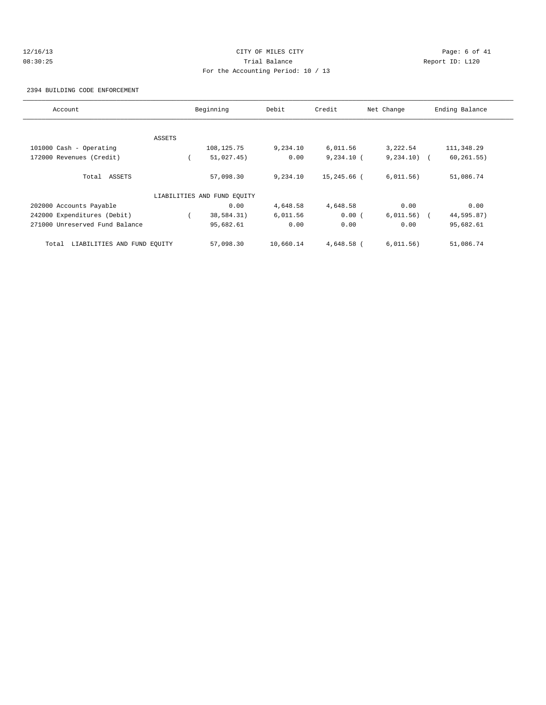# 12/16/13 CITY OF MILES CITY Page: 6 of 41 08:30:25 Trial Balance Report ID: L120 For the Accounting Period: 10 / 13

2394 BUILDING CODE ENFORCEMENT

| Account                              |        | Beginning                   | Debit     | Credit       | Net Change    | Ending Balance |
|--------------------------------------|--------|-----------------------------|-----------|--------------|---------------|----------------|
|                                      |        |                             |           |              |               |                |
|                                      | ASSETS |                             |           |              |               |                |
| 101000 Cash - Operating              |        | 108, 125. 75                | 9,234.10  | 6,011.56     | 3,222.54      | 111,348.29     |
| 172000 Revenues (Credit)             |        | 51,027.45)                  | 0.00      | $9,234.10$ ( | $9,234.10)$ ( | 60, 261.55)    |
| Total ASSETS                         |        | 57,098.30                   | 9,234.10  | 15,245.66 (  | 6,011.56)     | 51,086.74      |
|                                      |        | LIABILITIES AND FUND EQUITY |           |              |               |                |
| 202000 Accounts Payable              |        | 0.00                        | 4,648.58  | 4,648.58     | 0.00          | 0.00           |
| 242000 Expenditures (Debit)          |        | 38,584.31)                  | 6,011.56  | 0.00(        | 6,011.56)     | 44,595.87)     |
| 271000 Unreserved Fund Balance       |        | 95,682.61                   | 0.00      | 0.00         | 0.00          | 95,682.61      |
| LIABILITIES AND FUND EQUITY<br>Total |        | 57,098.30                   | 10,660.14 | 4,648.58 (   | 6,011.56)     | 51,086.74      |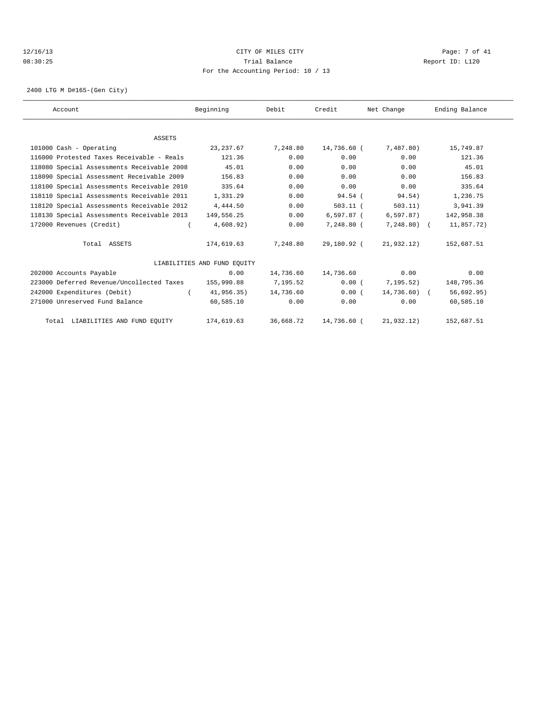# 12/16/13 CITY OF MILES CITY Page: 7 of 41 08:30:25 Trial Balance Report ID: L120 For the Accounting Period: 10 / 13

2400 LTG M D#165-(Gen City)

| Account                                    | Beginning                   | Debit     | Credit       | Net Change    | Ending Balance |
|--------------------------------------------|-----------------------------|-----------|--------------|---------------|----------------|
|                                            |                             |           |              |               |                |
| ASSETS<br>101000 Cash - Operating          |                             |           | 14,736.60 (  |               |                |
|                                            | 23, 237.67                  | 7,248.80  |              | 7,487.80)     | 15,749.87      |
| 116000 Protested Taxes Receivable - Reals  | 121.36                      | 0.00      | 0.00         | 0.00          | 121.36         |
| 118080 Special Assessments Receivable 2008 | 45.01                       | 0.00      | 0.00         | 0.00          | 45.01          |
| 118090 Special Assessment Receivable 2009  | 156.83                      | 0.00      | 0.00         | 0.00          | 156.83         |
| 118100 Special Assessments Receivable 2010 | 335.64                      | 0.00      | 0.00         | 0.00          | 335.64         |
| 118110 Special Assessments Receivable 2011 | 1,331.29                    | 0.00      | 94.54(       | 94.54)        | 1,236.75       |
| 118120 Special Assessments Receivable 2012 | 4,444.50                    | 0.00      | $503.11$ (   | 503.11)       | 3,941.39       |
| 118130 Special Assessments Receivable 2013 | 149,556.25                  | 0.00      | $6,597.87$ ( | 6,597.87)     | 142,958.38     |
| 172000 Revenues (Credit)                   | 4,608.92)                   | 0.00      | 7,248.80 (   | $7,248.80$ (  | 11,857.72)     |
| Total ASSETS                               | 174,619.63                  | 7,248.80  | 29,180.92 (  | 21,932.12)    | 152,687.51     |
|                                            | LIABILITIES AND FUND EQUITY |           |              |               |                |
| 202000 Accounts Payable                    | 0.00                        | 14,736.60 | 14,736.60    | 0.00          | 0.00           |
| 223000 Deferred Revenue/Uncollected Taxes  | 155,990.88                  | 7,195.52  | 0.00(        | 7, 195.52)    | 148,795.36     |
| 242000 Expenditures (Debit)                | 41,956.35)                  | 14,736.60 | 0.00(        | $14,736.60$ ( | 56,692.95)     |
| 271000 Unreserved Fund Balance             | 60,585.10                   | 0.00      | 0.00         | 0.00          | 60,585.10      |
| Total LIABILITIES AND FUND EQUITY          | 174,619.63                  | 36,668.72 | 14,736.60 (  | 21,932.12)    | 152,687.51     |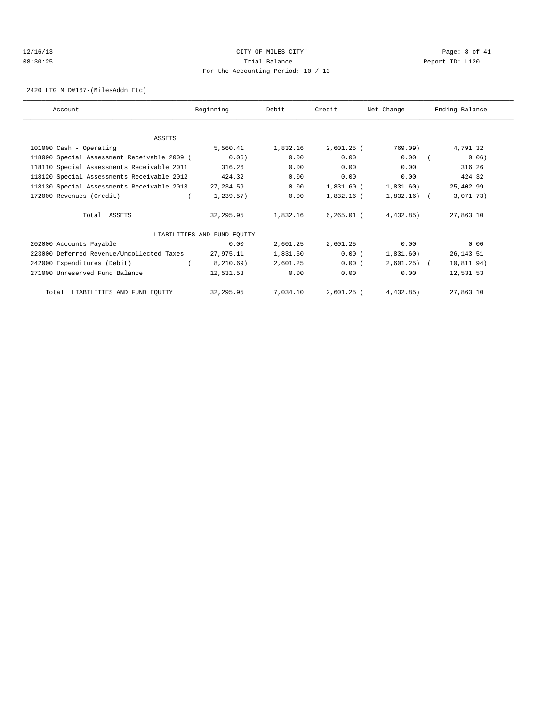# 12/16/13 CITY OF MILES CITY Page: 8 of 41 08:30:25 Trial Balance Report ID: L120 For the Accounting Period: 10 / 13

2420 LTG M D#167-(MilesAddn Etc)

| Account                                     | Beginning                   | Debit    | Credit       | Net Change   | Ending Balance |
|---------------------------------------------|-----------------------------|----------|--------------|--------------|----------------|
|                                             |                             |          |              |              |                |
| <b>ASSETS</b>                               |                             |          |              |              |                |
| 101000 Cash - Operating                     | 5,560.41                    | 1,832.16 | $2,601.25$ ( | 769.09)      | 4,791.32       |
| 118090 Special Assessment Receivable 2009 ( | 0.06)                       | 0.00     | 0.00         | 0.00         | 0.06)          |
| 118110 Special Assessments Receivable 2011  | 316.26                      | 0.00     | 0.00         | 0.00         | 316.26         |
| 118120 Special Assessments Receivable 2012  | 424.32                      | 0.00     | 0.00         | 0.00         | 424.32         |
| 118130 Special Assessments Receivable 2013  | 27, 234.59                  | 0.00     | 1,831.60 (   | 1,831.60)    | 25,402.99      |
| 172000 Revenues (Credit)                    | 1,239.57)                   | 0.00     | 1,832.16 (   | $1,832.16$ ( | 3,071.73)      |
| Total ASSETS                                | 32,295.95                   | 1,832.16 | $6.265.01$ ( | 4.432.85     | 27,863.10      |
|                                             | LIABILITIES AND FUND EQUITY |          |              |              |                |
| 202000 Accounts Payable                     | 0.00                        | 2,601.25 | 2,601.25     | 0.00         | 0.00           |
| 223000 Deferred Revenue/Uncollected Taxes   | 27,975.11                   | 1,831.60 | 0.00(        | 1,831.60)    | 26, 143.51     |
| 242000 Expenditures (Debit)                 | 8, 210.69)                  | 2,601.25 | 0.00(        | $2,601.25$ ( | 10,811.94)     |
| 271000 Unreserved Fund Balance              | 12,531.53                   | 0.00     | 0.00         | 0.00         | 12,531.53      |
| Total LIABILITIES AND FUND EQUITY           | 32,295.95                   | 7,034.10 | 2,601.25 (   | 4,432.85)    | 27,863.10      |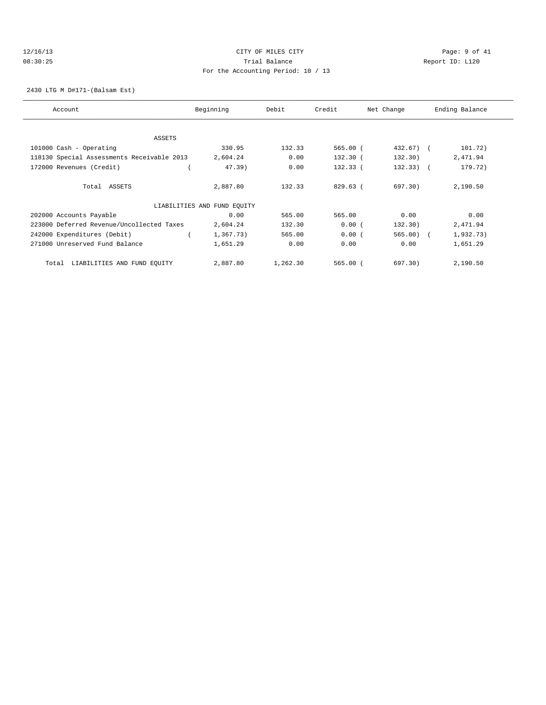# 12/16/13 CITY OF MILES CITY Page: 9 of 41 08:30:25 Trial Balance Report ID: L120 For the Accounting Period: 10 / 13

2430 LTG M D#171-(Balsam Est)

| Account                                    | Beginning                   | Debit    | Credit     | Net Change   | Ending Balance |
|--------------------------------------------|-----------------------------|----------|------------|--------------|----------------|
|                                            |                             |          |            |              |                |
| ASSETS                                     |                             |          |            |              |                |
| 101000 Cash - Operating                    | 330.95                      | 132.33   | 565.00(    | $432.67$ ) ( | 101.72)        |
| 118130 Special Assessments Receivable 2013 | 2,604.24                    | 0.00     | $132.30$ ( | 132.30)      | 2,471.94       |
| 172000 Revenues (Credit)                   | 47.39)                      | 0.00     | $132.33$ ( | $132.33)$ (  | 179.72)        |
| Total ASSETS                               | 2,887.80                    | 132.33   | $829.63$ ( | 697.30       | 2,190.50       |
|                                            | LIABILITIES AND FUND EQUITY |          |            |              |                |
| 202000 Accounts Payable                    | 0.00                        | 565.00   | 565.00     | 0.00         | 0.00           |
| 223000 Deferred Revenue/Uncollected Taxes  | 2,604.24                    | 132.30   | 0.00(      | 132.30)      | 2,471.94       |
| 242000 Expenditures (Debit)                | 1,367.73)                   | 565.00   | 0.00(      | $565.00$ (   | 1,932.73)      |
| 271000 Unreserved Fund Balance             | 1,651.29                    | 0.00     | 0.00       | 0.00         | 1,651.29       |
| LIABILITIES AND FUND EQUITY<br>Total       | 2,887.80                    | 1,262.30 | 565.00(    | 697.30)      | 2,190.50       |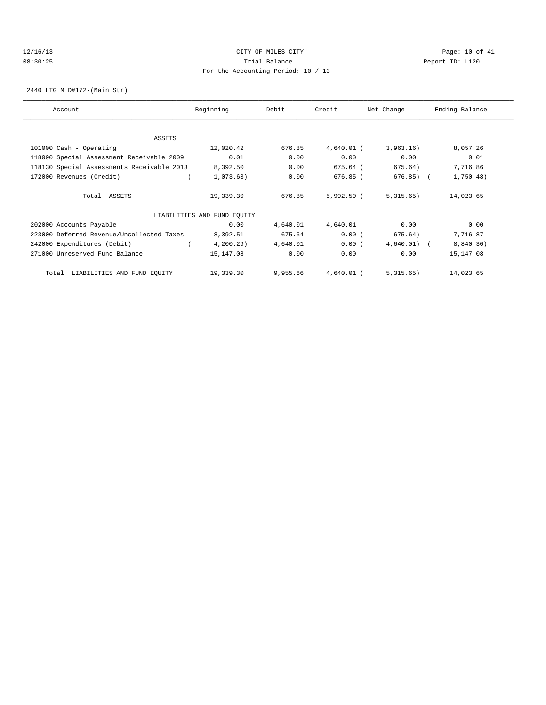# 12/16/13 Page: 10 of 41 08:30:25 Trial Balance Report ID: L120 For the Accounting Period: 10 / 13

2440 LTG M D#172-(Main Str)

| Account                                    | Beginning                   | Debit    | Credit       | Net Change | Ending Balance |
|--------------------------------------------|-----------------------------|----------|--------------|------------|----------------|
|                                            |                             |          |              |            |                |
| ASSETS                                     |                             |          |              |            |                |
| 101000 Cash - Operating                    | 12,020.42                   | 676.85   | $4,640.01$ ( | 3,963.16)  | 8,057.26       |
| 118090 Special Assessment Receivable 2009  | 0.01                        | 0.00     | 0.00         | 0.00       | 0.01           |
| 118130 Special Assessments Receivable 2013 | 8,392.50                    | 0.00     | 675.64 (     | 675.64)    | 7,716.86       |
| 172000 Revenues (Credit)                   | 1,073.63)                   | 0.00     | 676.85 (     | 676.85)    | 1,750.48)      |
| Total ASSETS                               | 19,339.30                   | 676.85   | $5,992.50$ ( | 5,315.65)  | 14,023.65      |
|                                            | LIABILITIES AND FUND EQUITY |          |              |            |                |
| 202000 Accounts Payable                    | 0.00                        | 4,640.01 | 4,640.01     | 0.00       | 0.00           |
| 223000 Deferred Revenue/Uncollected Taxes  | 8,392.51                    | 675.64   | 0.00(        | 675.64)    | 7,716.87       |
| 242000 Expenditures (Debit)                | 4, 200.29                   | 4,640.01 | 0.00(        | 4,640.01)  | 8,840.30)      |
| 271000 Unreserved Fund Balance             | 15,147.08                   | 0.00     | 0.00         | 0.00       | 15,147.08      |
| LIABILITIES AND FUND EQUITY<br>Total       | 19,339.30                   | 9,955.66 | $4,640.01$ ( | 5,315.65)  | 14,023.65      |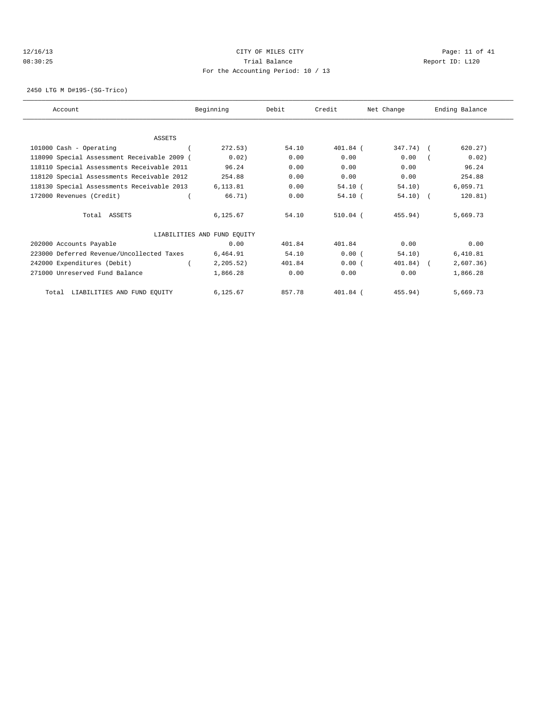# 12/16/13 Page: 11 of 41 08:30:25 Trial Balance Report ID: L120 For the Accounting Period: 10 / 13

2450 LTG M D#195-(SG-Trico)

| Account                                     | Beginning                   | Debit  | Credit     | Net Change   | Ending Balance |
|---------------------------------------------|-----------------------------|--------|------------|--------------|----------------|
|                                             |                             |        |            |              |                |
| ASSETS                                      |                             |        |            |              |                |
| 101000 Cash - Operating                     | 272.53)                     | 54.10  | $401.84$ ( | 347.74) (    | 620.27)        |
| 118090 Special Assessment Receivable 2009 ( | 0.02)                       | 0.00   | 0.00       | 0.00         | 0.02)          |
| 118110 Special Assessments Receivable 2011  | 96.24                       | 0.00   | 0.00       | 0.00         | 96.24          |
| 118120 Special Assessments Receivable 2012  | 254.88                      | 0.00   | 0.00       | 0.00         | 254.88         |
| 118130 Special Assessments Receivable 2013  | 6,113.81                    | 0.00   | $54.10$ (  | 54.10)       | 6,059.71       |
| 172000 Revenues (Credit)                    | 66.71)                      | 0.00   | 54.10(     | $54.10$ (    | 120.81)        |
| Total ASSETS                                | 6,125.67                    | 54.10  | $510.04$ ( | 455.94)      | 5,669.73       |
|                                             | LIABILITIES AND FUND EQUITY |        |            |              |                |
| 202000 Accounts Payable                     | 0.00                        | 401.84 | 401.84     | 0.00         | 0.00           |
| 223000 Deferred Revenue/Uncollected Taxes   | 6,464.91                    | 54.10  | 0.00(      | 54.10)       | 6,410.81       |
| 242000 Expenditures (Debit)                 | 2, 205.52)                  | 401.84 | 0.00(      | $401.84$ ) ( | 2,607.36)      |
| 271000 Unreserved Fund Balance              | 1,866.28                    | 0.00   | 0.00       | 0.00         | 1,866.28       |
| Total LIABILITIES AND FUND EQUITY           | 6,125.67                    | 857.78 | $401.84$ ( | 455.94)      | 5,669.73       |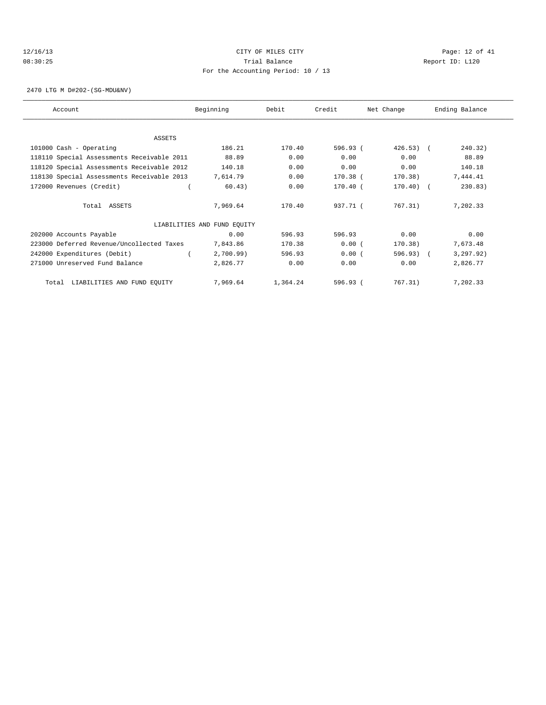# 12/16/13 Page: 12 of 41 08:30:25 Trial Balance Report ID: L120 For the Accounting Period: 10 / 13

2470 LTG M D#202-(SG-MDU&NV)

| Account                                    | Beginning                   | Debit    | Credit     | Net Change   | Ending Balance |
|--------------------------------------------|-----------------------------|----------|------------|--------------|----------------|
|                                            |                             |          |            |              |                |
| <b>ASSETS</b>                              |                             |          |            |              |                |
| 101000 Cash - Operating                    | 186.21                      | 170.40   | 596.93 (   | $426.53$ ) ( | 240.32)        |
| 118110 Special Assessments Receivable 2011 | 88.89                       | 0.00     | 0.00       | 0.00         | 88.89          |
| 118120 Special Assessments Receivable 2012 | 140.18                      | 0.00     | 0.00       | 0.00         | 140.18         |
| 118130 Special Assessments Receivable 2013 | 7,614.79                    | 0.00     | 170.38 (   | 170.38)      | 7,444.41       |
| 172000 Revenues (Credit)                   | 60.43)                      | 0.00     | $170.40$ ( | $170.40$ ) ( | 230.83)        |
| Total ASSETS                               | 7,969.64                    | 170.40   | 937.71 (   | 767.31)      | 7,202.33       |
|                                            | LIABILITIES AND FUND EQUITY |          |            |              |                |
| 202000 Accounts Payable                    | 0.00                        | 596.93   | 596.93     | 0.00         | 0.00           |
| 223000 Deferred Revenue/Uncollected Taxes  | 7,843.86                    | 170.38   | 0.00(      | 170.38)      | 7,673.48       |
| 242000 Expenditures (Debit)                | 2,700.99                    | 596.93   | 0.00(      | 596.93) (    | 3, 297.92)     |
| 271000 Unreserved Fund Balance             | 2,826.77                    | 0.00     | 0.00       | 0.00         | 2,826.77       |
| LIABILITIES AND FUND EQUITY<br>Total       | 7,969.64                    | 1,364.24 | 596.93(    | 767.31)      | 7,202.33       |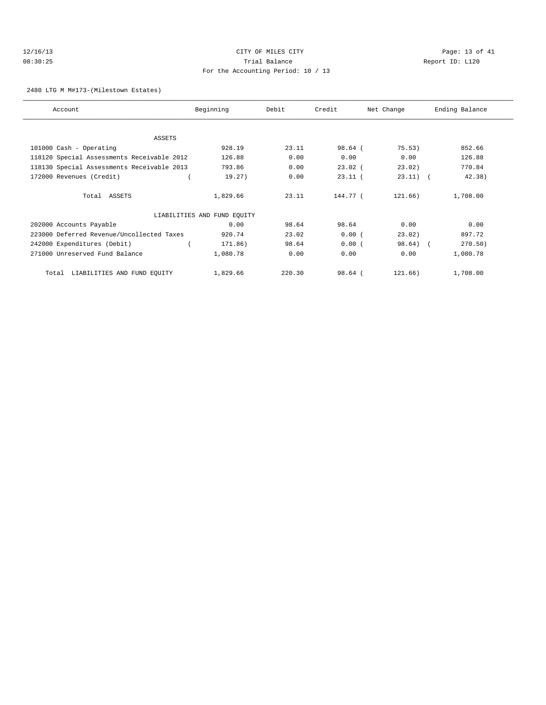# 12/16/13 Page: 13 of 41 08:30:25 Trial Balance Report ID: L120 For the Accounting Period: 10 / 13

2480 LTG M M#173-(Milestown Estates)

| Account                                    | Beginning                   | Debit  | Credit    | Net Change | Ending Balance |
|--------------------------------------------|-----------------------------|--------|-----------|------------|----------------|
|                                            |                             |        |           |            |                |
| ASSETS                                     |                             |        |           |            |                |
| 101000 Cash - Operating                    | 928.19                      | 23.11  | $98.64$ ( | 75.53)     | 852.66         |
| 118120 Special Assessments Receivable 2012 | 126.88                      | 0.00   | 0.00      | 0.00       | 126.88         |
| 118130 Special Assessments Receivable 2013 | 793.86                      | 0.00   | $23.02$ ( | 23.02)     | 770.84         |
| 172000 Revenues (Credit)                   | 19.27)                      | 0.00   | $23.11$ ( | $23.11)$ ( | 42.38)         |
| Total ASSETS                               | 1,829.66                    | 23.11  | 144.77 (  | 121.66)    | 1,708.00       |
|                                            | LIABILITIES AND FUND EQUITY |        |           |            |                |
| 202000 Accounts Payable                    | 0.00                        | 98.64  | 98.64     | 0.00       | 0.00           |
| 223000 Deferred Revenue/Uncollected Taxes  | 920.74                      | 23.02  | 0.00(     | 23.02)     | 897.72         |
| 242000 Expenditures (Debit)                | 171.86)                     | 98.64  | 0.00(     | $98.64)$ ( | 270.50)        |
| 271000 Unreserved Fund Balance             | 1,080.78                    | 0.00   | 0.00      | 0.00       | 1,080.78       |
| Total LIABILITIES AND FUND EQUITY          | 1,829.66                    | 220.30 | $98.64$ ( | 121.66)    | 1,708.00       |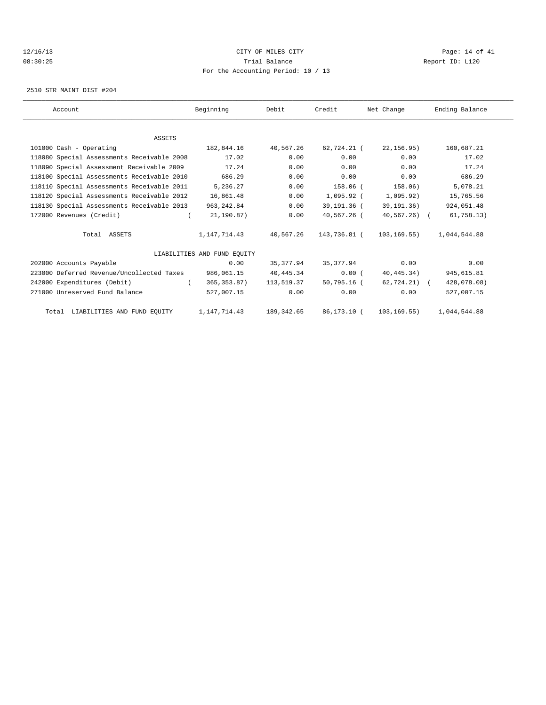# 12/16/13 Page: 14 of 41 08:30:25 Trial Balance Report ID: L120 For the Accounting Period: 10 / 13

2510 STR MAINT DIST #204

| Account                                    | Beginning                   | Debit      | Credit       | Net Change    | Ending Balance |
|--------------------------------------------|-----------------------------|------------|--------------|---------------|----------------|
|                                            |                             |            |              |               |                |
| <b>ASSETS</b>                              |                             |            |              |               |                |
| 101000 Cash - Operating                    | 182,844.16                  | 40,567.26  | 62,724.21 (  | 22,156.95)    | 160,687.21     |
| 118080 Special Assessments Receivable 2008 | 17.02                       | 0.00       | 0.00         | 0.00          | 17.02          |
| 118090 Special Assessment Receivable 2009  | 17.24                       | 0.00       | 0.00         | 0.00          | 17.24          |
| 118100 Special Assessments Receivable 2010 | 686.29                      | 0.00       | 0.00         | 0.00          | 686.29         |
| 118110 Special Assessments Receivable 2011 | 5,236.27                    | 0.00       | $158.06$ (   | 158.06)       | 5,078.21       |
| 118120 Special Assessments Receivable 2012 | 16,861.48                   | 0.00       | $1,095.92$ ( | 1,095.92)     | 15,765.56      |
| 118130 Special Assessments Receivable 2013 | 963, 242.84                 | 0.00       | 39,191.36 (  | 39,191.36)    | 924,051.48     |
| 172000 Revenues (Credit)                   | 21, 190.87)                 | 0.00       | 40,567.26 (  | $40,567,26$ ( | 61,758.13)     |
| Total ASSETS                               | 1,147,714.43                | 40,567.26  | 143,736.81 ( | 103,169.55)   | 1,044,544.88   |
|                                            | LIABILITIES AND FUND EOUITY |            |              |               |                |
| 202000 Accounts Payable                    | 0.00                        | 35, 377.94 | 35,377.94    | 0.00          | 0.00           |
| 223000 Deferred Revenue/Uncollected Taxes  | 986,061.15                  | 40, 445.34 | 0.00(        | 40,445.34)    | 945,615.81     |
| 242000 Expenditures (Debit)                | 365, 353.87)                | 113,519.37 | 50,795.16 (  | 62,724.21) (  | 428,078.08)    |
| 271000 Unreserved Fund Balance             | 527,007.15                  | 0.00       | 0.00         | 0.00          | 527,007.15     |
| Total LIABILITIES AND FUND EOUITY          | 1,147,714.43                | 189,342.65 | 86,173.10 (  | 103,169.55)   | 1,044,544.88   |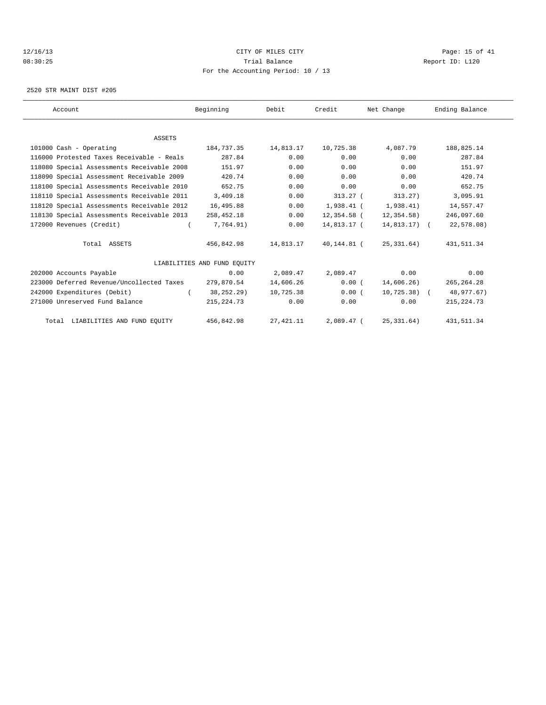# 12/16/13 Page: 15 of 41 08:30:25 Trial Balance Report ID: L120 For the Accounting Period: 10 / 13

2520 STR MAINT DIST #205

| Account                                    | Beginning                   | Debit      | Credit       | Net Change     | Ending Balance |  |
|--------------------------------------------|-----------------------------|------------|--------------|----------------|----------------|--|
|                                            |                             |            |              |                |                |  |
| <b>ASSETS</b>                              |                             |            |              |                |                |  |
| 101000 Cash - Operating                    | 184,737.35                  | 14,813.17  | 10,725.38    | 4,087.79       | 188,825.14     |  |
| 116000 Protested Taxes Receivable - Reals  | 287.84                      | 0.00       | 0.00         | 0.00           | 287.84         |  |
| 118080 Special Assessments Receivable 2008 | 151.97                      | 0.00       | 0.00         | 0.00           | 151.97         |  |
| 118090 Special Assessment Receivable 2009  | 420.74                      | 0.00       | 0.00         | 0.00           | 420.74         |  |
| 118100 Special Assessments Receivable 2010 | 652.75                      | 0.00       | 0.00         | 0.00           | 652.75         |  |
| 118110 Special Assessments Receivable 2011 | 3,409.18                    | 0.00       | $313.27$ (   | 313.27)        | 3,095.91       |  |
| 118120 Special Assessments Receivable 2012 | 16,495.88                   | 0.00       | $1,938.41$ ( | 1,938.41)      | 14,557.47      |  |
| 118130 Special Assessments Receivable 2013 | 258,452.18                  | 0.00       | 12,354.58 (  | 12,354.58)     | 246,097.60     |  |
| 172000 Revenues (Credit)                   | 7,764.91)                   | 0.00       | 14,813.17 (  | $14,813.17)$ ( | 22,578.08)     |  |
| Total ASSETS                               | 456,842.98                  | 14,813.17  | 40,144.81 (  | 25,331.64)     | 431, 511.34    |  |
|                                            | LIABILITIES AND FUND EOUITY |            |              |                |                |  |
| 202000 Accounts Payable                    | 0.00                        | 2,089.47   | 2,089.47     | 0.00           | 0.00           |  |
| 223000 Deferred Revenue/Uncollected Taxes  | 279,870.54                  | 14,606.26  | 0.00(        | 14,606.26)     | 265, 264.28    |  |
| 242000 Expenditures (Debit)                | 38, 252. 29)                | 10,725.38  | 0.00(        | $10,725.38$ (  | 48,977.67)     |  |
| 271000 Unreserved Fund Balance             | 215, 224. 73                | 0.00       | 0.00         | 0.00           | 215, 224.73    |  |
| Total LIABILITIES AND FUND EQUITY          | 456,842.98                  | 27, 421.11 | $2,089.47$ ( | 25, 331.64)    | 431, 511.34    |  |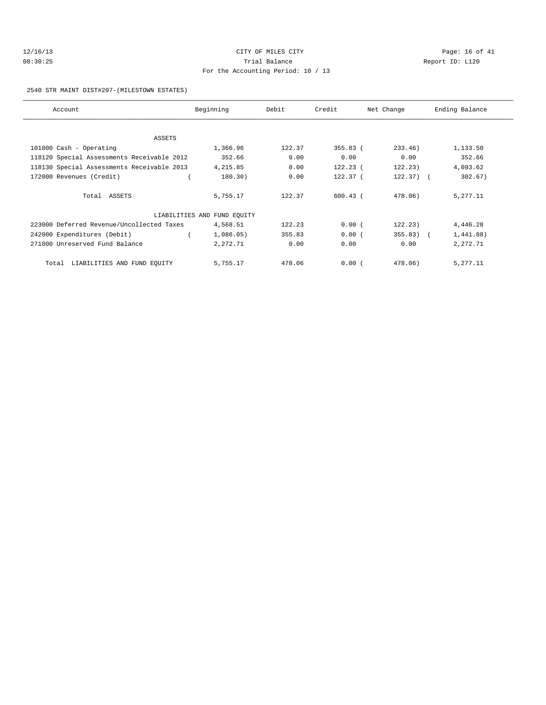# 12/16/13 Page: 16 of 41 08:30:25 Trial Balance Report ID: L120 For the Accounting Period: 10 / 13

#### 2540 STR MAINT DIST#207-(MILESTOWN ESTATES)

| Account                                    | Beginning                   | Debit  | Credit              | Net Change | Ending Balance |
|--------------------------------------------|-----------------------------|--------|---------------------|------------|----------------|
|                                            |                             |        |                     |            |                |
| ASSETS                                     |                             |        |                     |            |                |
| 101000 Cash - Operating                    | 1,366.96                    | 122.37 | $355.83$ (          | 233.46     | 1,133.50       |
| 118120 Special Assessments Receivable 2012 | 352.66                      | 0.00   | 0.00                | 0.00       | 352.66         |
| 118130 Special Assessments Receivable 2013 | 4,215.85                    | 0.00   | $122.23$ (          | 122.23)    | 4,093.62       |
| 172000 Revenues (Credit)                   | 180.30)                     | 0.00   | 122.37 <sub>0</sub> | $122.37$ ( | 302.67)        |
| Total ASSETS                               | 5,755.17                    | 122.37 | $600.43$ (          | 478.06)    | 5,277.11       |
|                                            | LIABILITIES AND FUND EQUITY |        |                     |            |                |
| 223000 Deferred Revenue/Uncollected Taxes  | 4,568.51                    | 122.23 | 0.00(               | 122.23)    | 4,446.28       |
| 242000 Expenditures (Debit)                | 1,086.05)                   | 355.83 | 0.00(               | $355.83$ ( | 1,441.88)      |
| 271000 Unreserved Fund Balance             | 2,272.71                    | 0.00   | 0.00                | 0.00       | 2,272.71       |
| LIABILITIES AND FUND EQUITY<br>Total       | 5,755.17                    | 478.06 | 0.00(               | 478.06)    | 5, 277. 11     |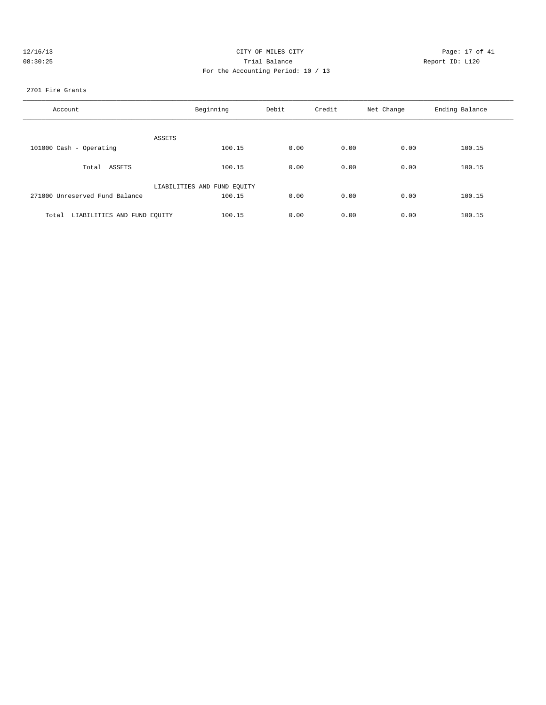| 12/16/13 |  |
|----------|--|
| 08:30:25 |  |

# CITY OF MILES CITY CONTROL CONTROL CONTROL CONTROL CONTROL PAGE: 17 of 41 08:30:25 Trial Balance Report ID: L120 For the Accounting Period: 10 / 13

### 2701 Fire Grants

| Account                              | Beginning                   | Debit | Credit | Net Change | Ending Balance |
|--------------------------------------|-----------------------------|-------|--------|------------|----------------|
| ASSETS                               |                             |       |        |            |                |
| 101000 Cash - Operating              | 100.15                      | 0.00  | 0.00   | 0.00       | 100.15         |
| Total ASSETS                         | 100.15                      | 0.00  | 0.00   | 0.00       | 100.15         |
|                                      | LIABILITIES AND FUND EQUITY |       |        |            |                |
| 271000 Unreserved Fund Balance       | 100.15                      | 0.00  | 0.00   | 0.00       | 100.15         |
| LIABILITIES AND FUND EQUITY<br>Total | 100.15                      | 0.00  | 0.00   | 0.00       | 100.15         |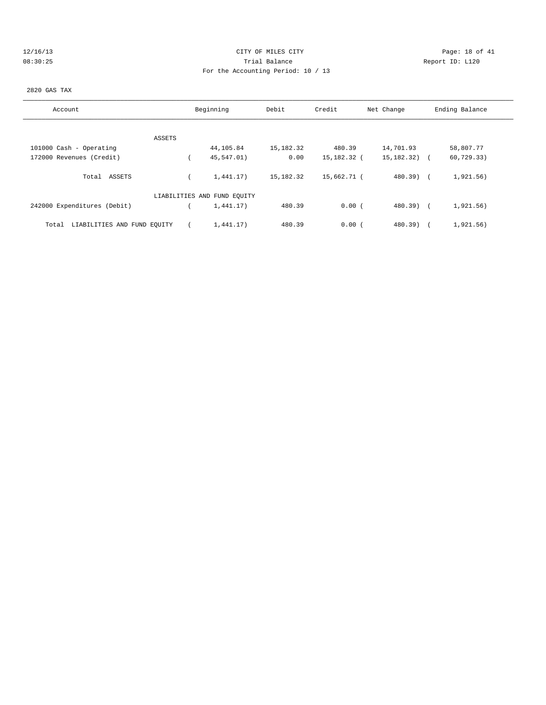# 12/16/13 Page: 18 of 41 08:30:25 Trial Balance Report ID: L120 For the Accounting Period: 10 / 13

#### 2820 GAS TAX

| Account                              | Beginning                   | Debit     | Credit      | Net Change       | Ending Balance |
|--------------------------------------|-----------------------------|-----------|-------------|------------------|----------------|
|                                      |                             |           |             |                  |                |
| ASSETS                               |                             |           |             |                  |                |
| 101000 Cash - Operating              | 44,105.84                   | 15,182.32 | 480.39      | 14,701.93        | 58,807.77      |
| 172000 Revenues (Credit)             | 45,547.01)                  | 0.00      | 15,182.32 ( | $15, 182, 32)$ ( | 60, 729.33)    |
| Total ASSETS                         | 1,441.17)                   | 15,182.32 | 15,662.71 ( | $480.39$ $($     | 1,921.56)      |
|                                      | LIABILITIES AND FUND EQUITY |           |             |                  |                |
| 242000 Expenditures (Debit)          | 1,441.17)                   | 480.39    | 0.00(       | $480.39$ $($     | 1,921.56)      |
| LIABILITIES AND FUND EOUITY<br>Total | 1.441.17)                   | 480.39    | 0.00(       | $480.39$ )       | 1,921.56)      |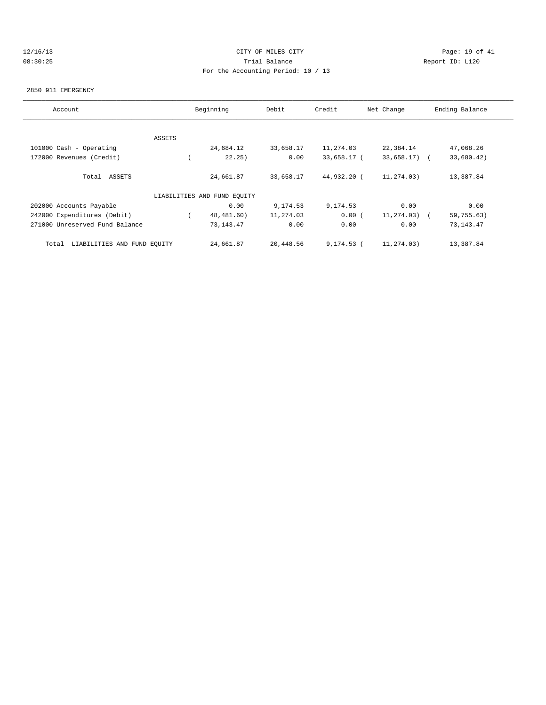# 12/16/13 Page: 19 of 41 08:30:25 Trial Balance Report ID: L120 For the Accounting Period: 10 / 13

#### 2850 911 EMERGENCY

| Account                              |        | Beginning                   | Debit     | Credit      | Net Change      | Ending Balance |
|--------------------------------------|--------|-----------------------------|-----------|-------------|-----------------|----------------|
|                                      |        |                             |           |             |                 |                |
|                                      | ASSETS |                             |           |             |                 |                |
| 101000 Cash - Operating              |        | 24,684.12                   | 33,658.17 | 11,274.03   | 22,384.14       | 47,068.26      |
| 172000 Revenues (Credit)             |        | 22.25)                      | 0.00      | 33,658.17 ( | $33,658.17$ ) ( | 33,680.42)     |
| Total ASSETS                         |        | 24,661.87                   | 33,658.17 | 44,932.20 ( | 11,274.03)      | 13,387.84      |
|                                      |        | LIABILITIES AND FUND EQUITY |           |             |                 |                |
| 202000 Accounts Payable              |        | 0.00                        | 9,174.53  | 9,174.53    | 0.00            | 0.00           |
| 242000 Expenditures (Debit)          |        | 48,481.60)                  | 11,274.03 | 0.00(       | 11,274.03)      | 59,755.63)     |
| 271000 Unreserved Fund Balance       |        | 73, 143. 47                 | 0.00      | 0.00        | 0.00            | 73, 143. 47    |
| LIABILITIES AND FUND EQUITY<br>Total |        | 24,661.87                   | 20,448.56 | 9,174.53 (  | 11,274.03)      | 13,387.84      |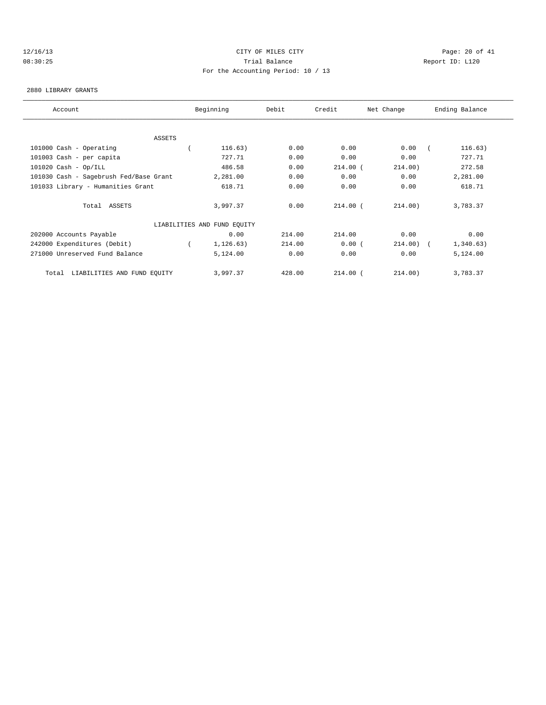# 12/16/13 Page: 20 of 41 08:30:25 Trial Balance Report ID: L120 For the Accounting Period: 10 / 13

#### 2880 LIBRARY GRANTS

| Account                                | Beginning                   | Debit  |            | Credit<br>Net Change |  | Ending Balance |  |  |
|----------------------------------------|-----------------------------|--------|------------|----------------------|--|----------------|--|--|
|                                        |                             |        |            |                      |  |                |  |  |
| ASSETS                                 |                             |        |            |                      |  |                |  |  |
| 101000 Cash - Operating                | 116.63)                     | 0.00   | 0.00       | 0.00                 |  | 116.63)        |  |  |
| 101003 Cash - per capita               | 727.71                      | 0.00   | 0.00       | 0.00                 |  | 727.71         |  |  |
| $101020$ Cash - Op/ILL                 | 486.58                      | 0.00   | $214.00$ ( | 214.00)              |  | 272.58         |  |  |
| 101030 Cash - Sagebrush Fed/Base Grant | 2,281.00                    | 0.00   | 0.00       | 0.00                 |  | 2,281.00       |  |  |
| 101033 Library - Humanities Grant      | 618.71                      | 0.00   | 0.00       | 0.00                 |  | 618.71         |  |  |
| Total ASSETS                           | 3,997.37                    | 0.00   | $214.00$ ( | 214.00)              |  | 3,783.37       |  |  |
|                                        | LIABILITIES AND FUND EQUITY |        |            |                      |  |                |  |  |
| 202000 Accounts Payable                | 0.00                        | 214.00 | 214.00     | 0.00                 |  | 0.00           |  |  |
| 242000 Expenditures (Debit)            | 1, 126.63)                  | 214.00 | 0.00(      | $214.00$ ) (         |  | 1,340.63)      |  |  |
| 271000 Unreserved Fund Balance         | 5,124.00                    | 0.00   | 0.00       | 0.00                 |  | 5,124.00       |  |  |
| LIABILITIES AND FUND EQUITY<br>Total   | 3,997.37                    | 428.00 | $214.00$ ( | 214.00)              |  | 3,783.37       |  |  |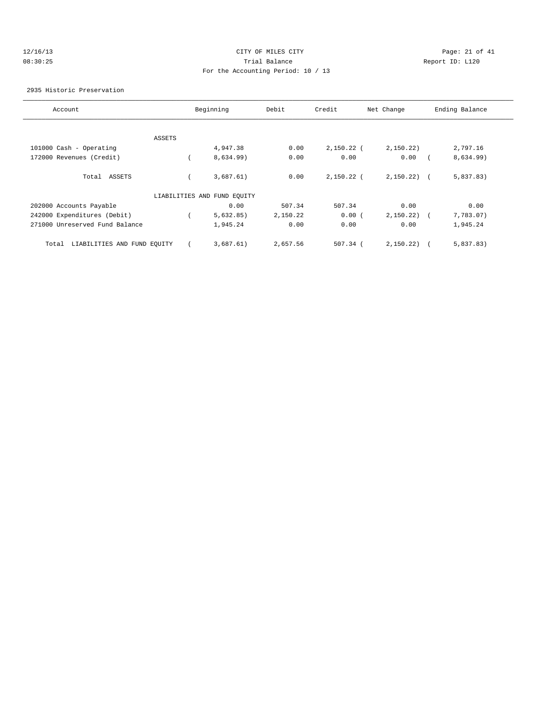# 12/16/13 Page: 21 of 41 08:30:25 Trial Balance Report ID: L120 For the Accounting Period: 10 / 13

### 2935 Historic Preservation

| Account                              |        | Beginning                   | Debit    | Credit       | Net Change     | Ending Balance |
|--------------------------------------|--------|-----------------------------|----------|--------------|----------------|----------------|
|                                      |        |                             |          |              |                |                |
|                                      | ASSETS |                             |          |              |                |                |
| 101000 Cash - Operating              |        | 4,947.38                    | 0.00     | $2,150.22$ ( | 2,150.22)      | 2,797.16       |
| 172000 Revenues (Credit)             |        | 8,634.99)                   | 0.00     | 0.00         | 0.00           | 8,634.99)      |
| ASSETS<br>Total                      |        | 3,687.61)                   | 0.00     | $2,150.22$ ( | $2,150.22$ ) ( | 5,837.83)      |
|                                      |        | LIABILITIES AND FUND EQUITY |          |              |                |                |
| 202000 Accounts Payable              |        | 0.00                        | 507.34   | 507.34       | 0.00           | 0.00           |
| 242000 Expenditures (Debit)          |        | 5,632.85)                   | 2,150.22 | 0.00(        | 2,150.22)      | 7,783.07)      |
| 271000 Unreserved Fund Balance       |        | 1,945.24                    | 0.00     | 0.00         | 0.00           | 1,945.24       |
| LIABILITIES AND FUND EQUITY<br>Total |        | 3,687.61)                   | 2,657.56 | $507.34$ (   | 2,150.22)      | 5,837.83)      |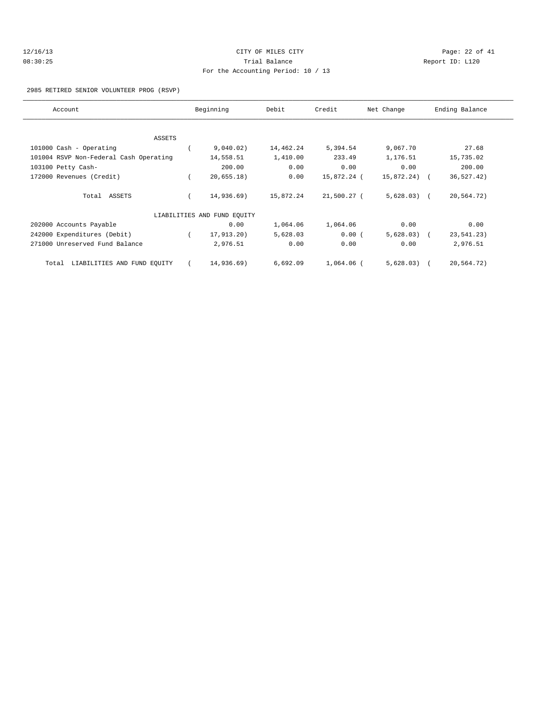| 12/16/13 | CITY OF MILES CITY                 |
|----------|------------------------------------|
| 08:30:25 | Trial Balance                      |
|          | For the Accounting Period: 10 / 13 |

Page: 22 of 41 Report ID: L120

### 2985 RETIRED SENIOR VOLUNTEER PROG (RSVP)

| Account                                | Beginning                   | Debit     | Credit      | Net Change   | Ending Balance |
|----------------------------------------|-----------------------------|-----------|-------------|--------------|----------------|
|                                        |                             |           |             |              |                |
| ASSETS                                 |                             |           |             |              |                |
| 101000 Cash - Operating                | 9,040.02)                   | 14,462.24 | 5,394.54    | 9,067.70     | 27.68          |
| 101004 RSVP Non-Federal Cash Operating | 14,558.51                   | 1,410.00  | 233.49      | 1,176.51     | 15,735.02      |
| 103100 Petty Cash-                     | 200.00                      | 0.00      | 0.00        | 0.00         | 200.00         |
| 172000 Revenues (Credit)               | 20,655.18)                  | 0.00      | 15,872.24 ( | 15,872.24) ( | 36, 527.42)    |
| Total ASSETS                           | 14,936.69)                  | 15,872.24 | 21,500.27 ( | $5,628.03$ ( | 20,564.72)     |
|                                        | LIABILITIES AND FUND EQUITY |           |             |              |                |
| 202000 Accounts Payable                | 0.00                        | 1,064.06  | 1,064.06    | 0.00         | 0.00           |
| 242000 Expenditures (Debit)            | 17,913.20)                  | 5,628.03  | 0.00(       | $5,628.03$ ( | 23,541.23)     |
| 271000 Unreserved Fund Balance         | 2,976.51                    | 0.00      | 0.00        | 0.00         | 2,976.51       |
| LIABILITIES AND FUND EQUITY<br>Total   | 14,936.69)                  | 6,692.09  | 1,064.06 (  | $5,628.03$ ( | 20,564.72)     |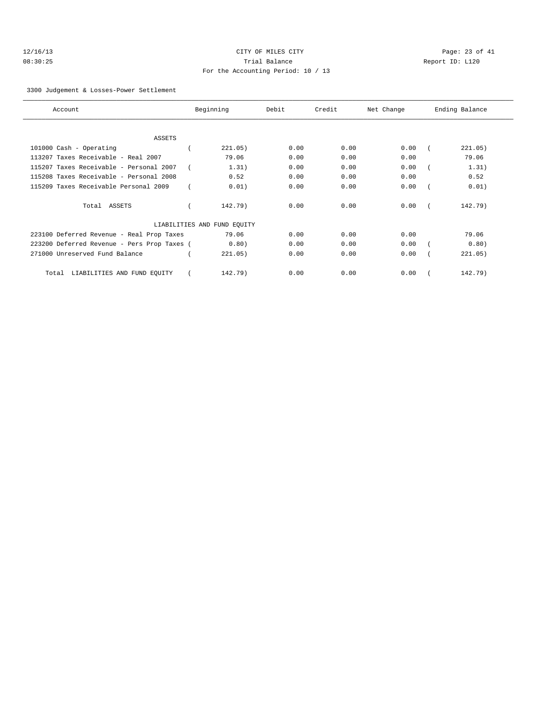# 12/16/13 Page: 23 of 41 08:30:25 Trial Balance Report ID: L120 For the Accounting Period: 10 / 13

3300 Judgement & Losses-Power Settlement

| Account                                     | Beginning                   | Debit | Credit | Net Change | Ending Balance |
|---------------------------------------------|-----------------------------|-------|--------|------------|----------------|
|                                             |                             |       |        |            |                |
| ASSETS                                      |                             |       |        |            |                |
| 101000 Cash - Operating                     | 221.05)                     | 0.00  | 0.00   | 0.00       | 221.05)        |
| 113207 Taxes Receivable - Real 2007         | 79.06                       | 0.00  | 0.00   | 0.00       | 79.06          |
| 115207 Taxes Receivable - Personal 2007     | 1.31)                       | 0.00  | 0.00   | 0.00       | 1.31)          |
| 115208 Taxes Receivable - Personal 2008     | 0.52                        | 0.00  | 0.00   | 0.00       | 0.52           |
| 115209 Taxes Receivable Personal 2009       | 0.01)                       | 0.00  | 0.00   | 0.00       | 0.01)          |
| Total ASSETS                                | 142.79)                     | 0.00  | 0.00   | 0.00       | 142.79)        |
|                                             | LIABILITIES AND FUND EQUITY |       |        |            |                |
| 223100 Deferred Revenue - Real Prop Taxes   | 79.06                       | 0.00  | 0.00   | 0.00       | 79.06          |
| 223200 Deferred Revenue - Pers Prop Taxes ( | 0.80)                       | 0.00  | 0.00   | 0.00       | 0.80)          |
| 271000 Unreserved Fund Balance              | 221.05)                     | 0.00  | 0.00   | 0.00       | 221.05)        |
| LIABILITIES AND FUND EQUITY<br>Total        | 142.79)                     | 0.00  | 0.00   | 0.00       | 142.79)        |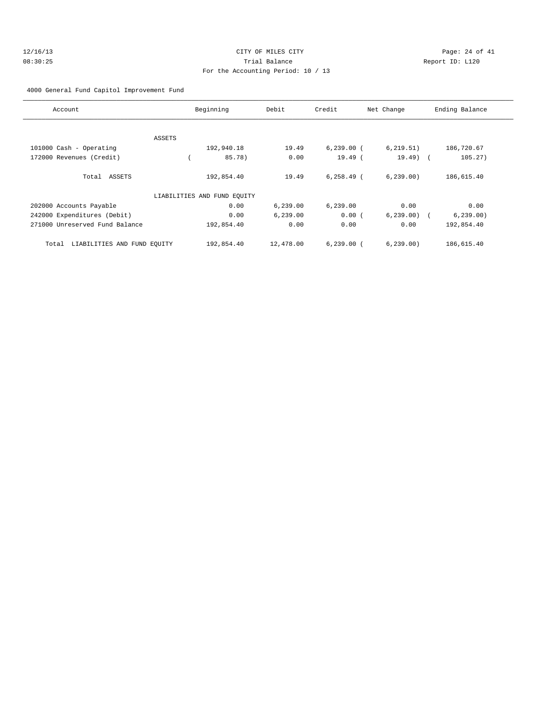# 12/16/13 Page: 24 of 41 08:30:25 Trial Balance Report ID: L120 For the Accounting Period: 10 / 13

4000 General Fund Capitol Improvement Fund

| Account                              | Beginning                   | Debit     | Credit        | Net Change | Ending Balance |
|--------------------------------------|-----------------------------|-----------|---------------|------------|----------------|
|                                      |                             |           |               |            |                |
|                                      | ASSETS                      |           |               |            |                |
| 101000 Cash - Operating              | 192,940.18                  | 19.49     | $6,239.00$ (  | 6, 219.51) | 186,720.67     |
| 172000 Revenues (Credit)             | 85.78)                      | 0.00      | $19.49$ (     | $19.49$ (  | 105.27)        |
| Total ASSETS                         | 192,854.40                  | 19.49     | $6, 258.49$ ( | 6, 239.00  | 186,615.40     |
|                                      | LIABILITIES AND FUND EQUITY |           |               |            |                |
| 202000 Accounts Payable              | 0.00                        | 6, 239.00 | 6,239.00      | 0.00       | 0.00           |
| 242000 Expenditures (Debit)          | 0.00                        | 6, 239.00 | 0.00(         | 6, 239.00  | 6, 239.00      |
| 271000 Unreserved Fund Balance       | 192,854.40                  | 0.00      | 0.00          | 0.00       | 192,854.40     |
| LIABILITIES AND FUND EQUITY<br>Total | 192,854.40                  | 12,478.00 | $6,239.00$ (  | 6, 239.00  | 186,615.40     |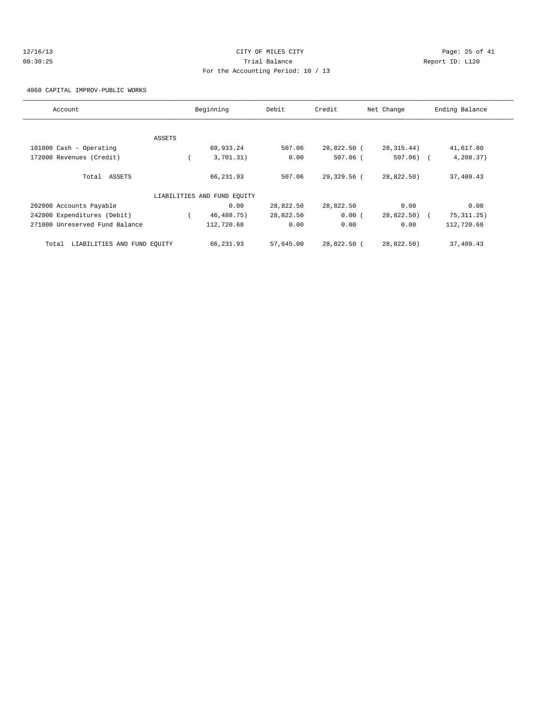# 12/16/13 Page: 25 of 41 08:30:25 Trial Balance Report ID: L120 For the Accounting Period: 10 / 13

4060 CAPITAL IMPROV-PUBLIC WORKS

| Account                              |        | Beginning                   | Debit     | Credit      | Net Change  | Ending Balance |
|--------------------------------------|--------|-----------------------------|-----------|-------------|-------------|----------------|
|                                      |        |                             |           |             |             |                |
|                                      | ASSETS |                             |           |             |             |                |
| 101000 Cash - Operating              |        | 69,933.24                   | 507.06    | 28,822.50 ( | 28, 315.44) | 41,617.80      |
| 172000 Revenues (Credit)             |        | 3,701.31)                   | 0.00      | $507.06$ (  | $507.06)$ ( | 4,208.37)      |
| Total ASSETS                         |        | 66,231.93                   | 507.06    | 29,329.56 ( | 28,822.50)  | 37,409.43      |
|                                      |        | LIABILITIES AND FUND EQUITY |           |             |             |                |
| 202000 Accounts Payable              |        | 0.00                        | 28,822.50 | 28,822.50   | 0.00        | 0.00           |
| 242000 Expenditures (Debit)          |        | 46, 488. 75)                | 28,822.50 | 0.00(       | 28,822.50)  | 75, 311.25)    |
| 271000 Unreserved Fund Balance       |        | 112,720.68                  | 0.00      | 0.00        | 0.00        | 112,720.68     |
| LIABILITIES AND FUND EQUITY<br>Total |        | 66,231.93                   | 57,645.00 | 28,822.50 ( | 28,822.50)  | 37,409.43      |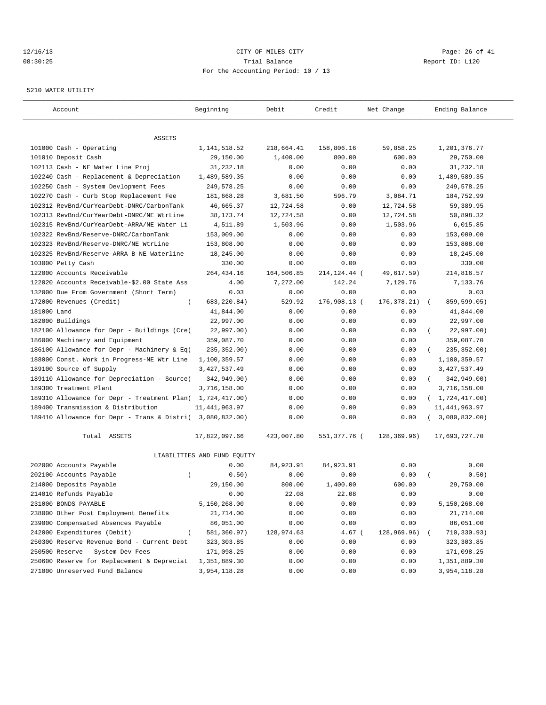# 12/16/13 Page: 26 of 41 08:30:25 Trial Balance Report ID: L120 For the Accounting Period: 10 / 13

#### 5210 WATER UTILITY

| Account                                                   | Beginning                   | Debit                  | Credit               | Net Change    | Ending Balance            |
|-----------------------------------------------------------|-----------------------------|------------------------|----------------------|---------------|---------------------------|
|                                                           |                             |                        |                      |               |                           |
| ASSETS                                                    |                             |                        |                      | 59,858.25     | 1,201,376.77              |
| 101000 Cash - Operating<br>101010 Deposit Cash            | 1, 141, 518.52<br>29,150.00 | 218,664.41<br>1,400.00 | 158,806.16<br>800.00 | 600.00        | 29,750.00                 |
| 102113 Cash - NE Water Line Proj                          | 31,232.18                   | 0.00                   | 0.00                 | 0.00          | 31,232.18                 |
| 102240 Cash - Replacement & Depreciation                  | 1,489,589.35                | 0.00                   | 0.00                 | 0.00          | 1,489,589.35              |
| 102250 Cash - System Devlopment Fees                      | 249,578.25                  | 0.00                   | 0.00                 | 0.00          | 249,578.25                |
| 102270 Cash - Curb Stop Replacement Fee                   | 181,668.28                  | 3,681.50               | 596.79               | 3,084.71      | 184,752.99                |
| 102312 RevBnd/CurYearDebt-DNRC/CarbonTank                 | 46,665.37                   | 12,724.58              | 0.00                 | 12,724.58     | 59,389.95                 |
| 102313 RevBnd/CurYearDebt-DNRC/NE WtrLine                 | 38, 173. 74                 | 12,724.58              | 0.00                 | 12,724.58     | 50,898.32                 |
| 102315 RevBnd/CurYearDebt-ARRA/NE Water Li                | 4,511.89                    | 1,503.96               | 0.00                 | 1,503.96      | 6,015.85                  |
| 102322 RevBnd/Reserve-DNRC/CarbonTank                     | 153,009.00                  | 0.00                   | 0.00                 | 0.00          | 153,009.00                |
| 102323 RevBnd/Reserve-DNRC/NE WtrLine                     | 153,808.00                  | 0.00                   | 0.00                 | 0.00          | 153,808.00                |
| 102325 RevBnd/Reserve-ARRA B-NE Waterline                 | 18,245.00                   | 0.00                   | 0.00                 | 0.00          | 18,245.00                 |
| 103000 Petty Cash                                         | 330.00                      | 0.00                   | 0.00                 | 0.00          | 330.00                    |
| 122000 Accounts Receivable                                | 264, 434. 16                | 164,506.85             | 214, 124. 44 (       | 49,617.59)    | 214,816.57                |
| 122020 Accounts Receivable-\$2.00 State Ass               | 4.00                        | 7,272.00               | 142.24               | 7,129.76      | 7,133.76                  |
| 132000 Due From Government (Short Term)                   | 0.03                        | 0.00                   | 0.00                 | 0.00          | 0.03                      |
| 172000 Revenues (Credit)<br>$\left($                      | 683, 220.84)                | 529.92                 | 176,908.13 (         | 176, 378. 21) | 859,599.05)<br>$\sqrt{2}$ |
| 181000 Land                                               | 41,844.00                   | 0.00                   | 0.00                 | 0.00          | 41,844.00                 |
| 182000 Buildings                                          | 22,997.00                   | 0.00                   | 0.00                 | 0.00          | 22,997.00                 |
| 182100 Allowance for Depr - Buildings (Cre(               | 22,997.00)                  | 0.00                   | 0.00                 | 0.00          | 22,997.00)                |
| 186000 Machinery and Equipment                            | 359,087.70                  | 0.00                   | 0.00                 | 0.00          | 359,087.70                |
| 186100 Allowance for Depr - Machinery & Eq(               | 235, 352.00)                | 0.00                   | 0.00                 | 0.00          | 235, 352.00)              |
| 188000 Const. Work in Progress-NE Wtr Line                | 1,100,359.57                | 0.00                   | 0.00                 | 0.00          | 1,100,359.57              |
| 189100 Source of Supply                                   | 3, 427, 537.49              | 0.00                   | 0.00                 | 0.00          | 3, 427, 537.49            |
| 189110 Allowance for Depreciation - Source(               | 342,949.00)                 | 0.00                   | 0.00                 | 0.00          | 342,949.00)<br>$\left($   |
| 189300 Treatment Plant                                    | 3,716,158.00                | 0.00                   | 0.00                 | 0.00          | 3,716,158.00              |
| 189310 Allowance for Depr - Treatment Plan( 1,724,417.00) |                             | 0.00                   | 0.00                 | 0.00          | (1, 724, 417.00)          |
| 189400 Transmission & Distribution                        | 11, 441, 963.97             | 0.00                   | 0.00                 | 0.00          | 11, 441, 963.97           |
| 189410 Allowance for Depr - Trans & Distri( 3,080,832.00) |                             | 0.00                   | 0.00                 | 0.00          | 3,080,832.00)             |
| Total ASSETS                                              | 17,822,097.66               | 423,007.80             | 551,377.76 (         | 128,369.96)   | 17,693,727.70             |
|                                                           | LIABILITIES AND FUND EQUITY |                        |                      |               |                           |
| 202000 Accounts Payable                                   | 0.00                        | 84,923.91              | 84,923.91            | 0.00          | 0.00                      |
| 202100 Accounts Payable<br>$\overline{ }$                 | 0.50)                       | 0.00                   | 0.00                 | 0.00          | 0.50)                     |
| 214000 Deposits Payable                                   | 29,150.00                   | 800.00                 | 1,400.00             | 600.00        | 29,750.00                 |
| 214010 Refunds Payable                                    | 0.00                        | 22.08                  | 22.08                | 0.00          | 0.00                      |
| 231000 BONDS PAYABLE                                      | 5,150,268.00                | 0.00                   | 0.00                 | 0.00          | 5,150,268.00              |
| 238000 Other Post Employment Benefits                     | 21,714.00                   | 0.00                   | 0.00                 | 0.00          | 21,714.00                 |
| 239000 Compensated Absences Payable                       | 86,051.00                   | 0.00                   | 0.00                 | 0.00          | 86,051.00                 |
| 242000 Expenditures (Debit)                               | 581,360.97)                 | 128,974.63             | $4.67$ (             | 128,969.96)   | 710,330.93)               |
| 250300 Reserve Revenue Bond - Current Debt                | 323, 303.85                 | 0.00                   | 0.00                 | 0.00          | 323,303.85                |
| 250500 Reserve - System Dev Fees                          | 171,098.25                  | 0.00                   | 0.00                 | 0.00          | 171,098.25                |
| 250600 Reserve for Replacement & Depreciat                | 1,351,889.30                | 0.00                   | 0.00                 | 0.00          | 1,351,889.30              |
| 271000 Unreserved Fund Balance                            | 3,954,118.28                | 0.00                   | 0.00                 | 0.00          | 3,954,118.28              |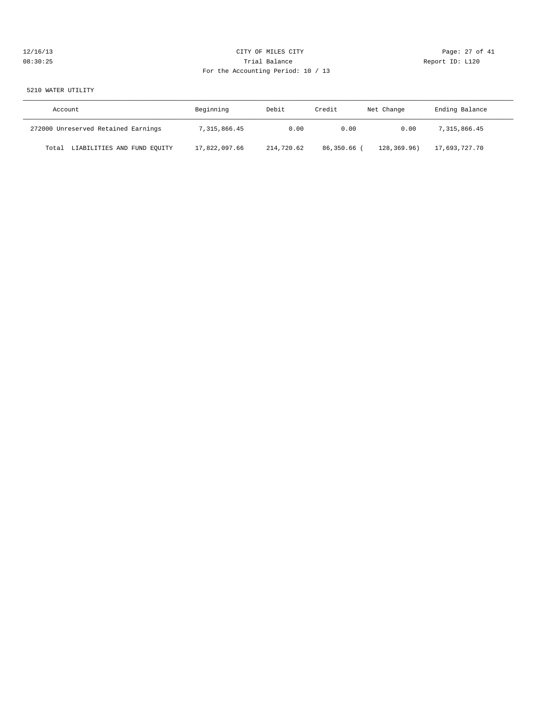# 12/16/13 Page: 27 of 41 08:30:25 Trial Balance Report ID: L120 For the Accounting Period: 10 / 13

# 5210 WATER UTILITY

| Account                              | Beginning     | Debit      | Credit      | Net Change  | Ending Balance |
|--------------------------------------|---------------|------------|-------------|-------------|----------------|
| 272000 Unreserved Retained Earnings  | 7,315,866.45  | 0.00       | 0.00        | 0.00        | 7,315,866.45   |
| LIABILITIES AND FUND EQUITY<br>Total | 17,822,097.66 | 214,720.62 | 86,350.66 ( | 128,369.96) | 17,693,727.70  |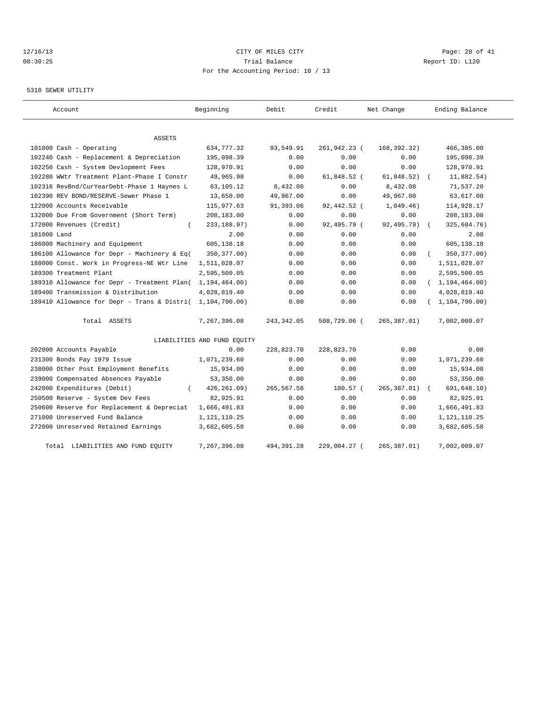# 12/16/13 Page: 28 of 41 08:30:25 Trial Balance Report ID: L120 For the Accounting Period: 10 / 13

#### 5310 SEWER UTILITY

| Account                                     | Beginning                   | Debit       | Credit       | Net Change   | Ending Balance   |
|---------------------------------------------|-----------------------------|-------------|--------------|--------------|------------------|
| <b>ASSETS</b>                               |                             |             |              |              |                  |
| 101000 Cash - Operating                     | 634,777.32                  | 93,549.91   | 261,942.23 ( | 168,392.32)  | 466,385.00       |
| 102240 Cash - Replacement & Depreciation    | 195,098.39                  | 0.00        | 0.00         | 0.00         | 195,098.39       |
| 102250 Cash - System Devlopment Fees        | 128,970.91                  | 0.00        | 0.00         | 0.00         | 128,970.91       |
| 102280 WWtr Treatment Plant-Phase I Constr  | 49,965.98                   | 0.00        | 61,848.52 (  | 61,848.52)   | 11,882.54)       |
| 102316 RevBnd/CurYearDebt-Phase 1 Haynes L  | 63,105.12                   | 8,432.08    | 0.00         | 8,432.08     | 71,537.20        |
| 102390 REV BOND/RESERVE-Sewer Phase 1       | 13,650.00                   | 49,967.00   | 0.00         | 49,967.00    | 63,617.00        |
| 122000 Accounts Receivable                  | 115,977.63                  | 91,393.06   | 92,442.52 (  | 1,049.46)    | 114,928.17       |
| 132000 Due From Government (Short Term)     | 208,183.00                  | 0.00        | 0.00         | 0.00         | 208,183.00       |
| 172000 Revenues (Credit)<br>$\left($        | 233, 188.97)                | 0.00        | 92,495.79 (  | 92,495.79)   | 325,684.76)      |
| 181000 Land                                 | 2.00                        | 0.00        | 0.00         | 0.00         | 2.00             |
| 186000 Machinery and Equipment              | 605,138.18                  | 0.00        | 0.00         | 0.00         | 605,138.18       |
| 186100 Allowance for Depr - Machinery & Eq( | 350, 377.00)                | 0.00        | 0.00         | 0.00         | 350, 377.00)     |
| 188000 Const. Work in Progress-NE Wtr Line  | 1,511,028.07                | 0.00        | 0.00         | 0.00         | 1,511,028.07     |
| 189300 Treatment Plant                      | 2,595,500.05                | 0.00        | 0.00         | 0.00         | 2,595,500.05     |
| 189310 Allowance for Depr - Treatment Plan( | 1, 194, 464.00)             | 0.00        | 0.00         | 0.00         | (1, 194, 464.00) |
| 189400 Transmission & Distribution          | 4,028,819.40                | 0.00        | 0.00         | 0.00         | 4,028,819.40     |
| 189410 Allowance for Depr - Trans & Distri( | 1,104,790.00)               | 0.00        | 0.00         | 0.00         | 1, 104, 790.00)  |
| Total ASSETS                                | 7,267,396.08                | 243, 342.05 | 508,729.06 ( | 265,387.01)  | 7,002,009.07     |
|                                             | LIABILITIES AND FUND EQUITY |             |              |              |                  |
| 202000 Accounts Payable                     | 0.00                        | 228,823.70  | 228,823.70   | 0.00         | 0.00             |
| 231300 Bonds Pay 1979 Issue                 | 1,071,239.60                | 0.00        | 0.00         | 0.00         | 1,071,239.60     |
| 238000 Other Post Employment Benefits       | 15,934.00                   | 0.00        | 0.00         | 0.00         | 15,934.00        |
| 239000 Compensated Absences Payable         | 53,350.00                   | 0.00        | 0.00         | 0.00         | 53,350.00        |
| 242000 Expenditures (Debit)                 | 426, 261.09)                | 265,567.58  | 180.57 (     | 265, 387.01) | 691, 648.10)     |
| 250500 Reserve - System Dev Fees            | 82,925.91                   | 0.00        | 0.00         | 0.00         | 82,925.91        |
| 250600 Reserve for Replacement & Depreciat  | 1,666,491.83                | 0.00        | 0.00         | 0.00         | 1,666,491.83     |
| 271000 Unreserved Fund Balance              | 1,121,110.25                | 0.00        | 0.00         | 0.00         | 1, 121, 110. 25  |
| 272000 Unreserved Retained Earnings         | 3,682,605.58                | 0.00        | 0.00         | 0.00         | 3,682,605.58     |
| Total LIABILITIES AND FUND EQUITY           | 7,267,396.08                | 494, 391.28 | 229,004.27 ( | 265,387.01)  | 7,002,009.07     |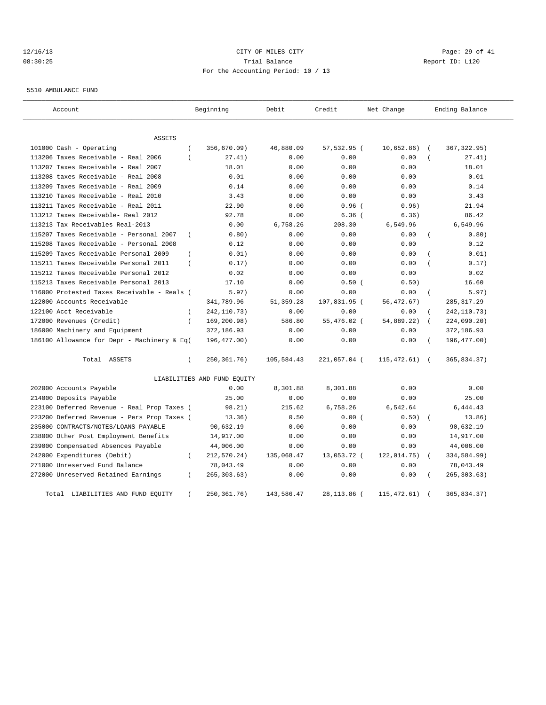# 12/16/13 Page: 29 of 41 08:30:25 Trial Balance Report ID: L120 For the Accounting Period: 10 / 13

5510 AMBULANCE FUND

| Account                                     |                | Beginning                   | Debit      | Credit       | Net Change  |                | Ending Balance |
|---------------------------------------------|----------------|-----------------------------|------------|--------------|-------------|----------------|----------------|
| ASSETS                                      |                |                             |            |              |             |                |                |
| 101000 Cash - Operating                     | $\overline{ }$ | 356,670.09)                 | 46,880.09  | 57,532.95 (  | 10,652.86)  |                | 367, 322.95)   |
| 113206 Taxes Receivable - Real 2006         | $\left($       | 27.41)                      | 0.00       | 0.00         | 0.00        |                | 27.41)         |
| 113207 Taxes Receivable - Real 2007         |                | 18.01                       | 0.00       | 0.00         | 0.00        |                | 18.01          |
| 113208 taxes Receivable - Real 2008         |                | 0.01                        | 0.00       | 0.00         | 0.00        |                | 0.01           |
| 113209 Taxes Receivable - Real 2009         |                | 0.14                        | 0.00       | 0.00         | 0.00        |                | 0.14           |
| 113210 Taxes Receivable - Real 2010         |                | 3.43                        | 0.00       | 0.00         | 0.00        |                | 3.43           |
| 113211 Taxes Receivable - Real 2011         |                | 22.90                       | 0.00       | $0.96$ (     | 0.96)       |                | 21.94          |
| 113212 Taxes Receivable- Real 2012          |                | 92.78                       | 0.00       | $6.36$ (     | 6.36)       |                | 86.42          |
| 113213 Tax Receivables Real-2013            |                | 0.00                        | 6,758.26   | 208.30       | 6,549.96    |                | 6,549.96       |
| 115207 Taxes Receivable - Personal 2007     | $\overline{ }$ | 0.80)                       | 0.00       | 0.00         | 0.00        |                | 0.80)          |
| 115208 Taxes Receivable - Personal 2008     |                | 0.12                        | 0.00       | 0.00         | 0.00        |                | 0.12           |
| 115209 Taxes Receivable Personal 2009       | $\overline{ }$ | 0.01)                       | 0.00       | 0.00         | 0.00        |                | 0.01)          |
| 115211 Taxes Receivable Personal 2011       | $\left($       | 0.17)                       | 0.00       | 0.00         | 0.00        |                | 0.17)          |
| 115212 Taxes Receivable Personal 2012       |                | 0.02                        | 0.00       | 0.00         | 0.00        |                | 0.02           |
| 115213 Taxes Receivable Personal 2013       |                | 17.10                       | 0.00       | 0.50(        | 0.50)       |                | 16.60          |
| 116000 Protested Taxes Receivable - Reals ( |                | 5.97)                       | 0.00       | 0.00         | 0.00        | $\overline{ }$ | 5.97)          |
| 122000 Accounts Receivable                  |                | 341,789.96                  | 51,359.28  | 107,831.95 ( | 56, 472.67) |                | 285, 317.29    |
| 122100 Acct Receivable                      | $\left($       | 242, 110. 73)               | 0.00       | 0.00         | 0.00        |                | 242, 110.73)   |
| 172000 Revenues (Credit)                    | $\overline{ }$ | 169,200.98)                 | 586.80     | 55,476.02 (  | 54,889.22)  |                | 224,090.20)    |
| 186000 Machinery and Equipment              |                | 372,186.93                  | 0.00       | 0.00         | 0.00        |                | 372,186.93     |
| 186100 Allowance for Depr - Machinery & Eq( |                | 196,477.00)                 | 0.00       | 0.00         | 0.00        |                | 196,477.00)    |
| Total ASSETS                                | $\left($       | 250, 361. 76)               | 105,584.43 | 221,057.04 ( | 115,472.61) | $\sqrt{2}$     | 365,834.37)    |
|                                             |                | LIABILITIES AND FUND EQUITY |            |              |             |                |                |
| 202000 Accounts Payable                     |                | 0.00                        | 8,301.88   | 8,301.88     | 0.00        |                | 0.00           |
| 214000 Deposits Payable                     |                | 25.00                       | 0.00       | 0.00         | 0.00        |                | 25.00          |
| 223100 Deferred Revenue - Real Prop Taxes ( |                | 98.21)                      | 215.62     | 6,758.26     | 6,542.64    |                | 6,444.43       |
| 223200 Deferred Revenue - Pers Prop Taxes ( |                | 13.36)                      | 0.50       | 0.00(        | 0.50)       | $\sqrt{ }$     | 13.86)         |
| 235000 CONTRACTS/NOTES/LOANS PAYABLE        |                | 90,632.19                   | 0.00       | 0.00         | 0.00        |                | 90,632.19      |
| 238000 Other Post Employment Benefits       |                | 14,917.00                   | 0.00       | 0.00         | 0.00        |                | 14,917.00      |
| 239000 Compensated Absences Payable         |                | 44,006.00                   | 0.00       | 0.00         | 0.00        |                | 44,006.00      |
| 242000 Expenditures (Debit)                 | $\left($       | 212,570.24)                 | 135,068.47 | 13,053.72 (  | 122,014.75) |                | 334,584.99)    |
| 271000 Unreserved Fund Balance              |                | 78,043.49                   | 0.00       | 0.00         | 0.00        |                | 78,043.49      |
| 272000 Unreserved Retained Earnings         | $\left($       | 265, 303.63)                | 0.00       | 0.00         | 0.00        |                | 265, 303.63)   |
| Total<br>LIABILITIES AND FUND EQUITY        |                | 250, 361. 76)               | 143,586.47 | 28, 113.86 ( | 115,472.61) |                | 365,834.37)    |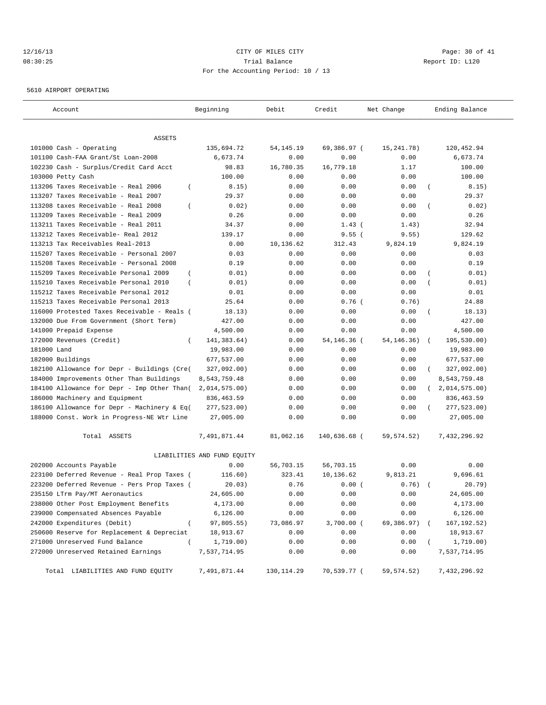# 12/16/13 Page: 30 of 41 08:30:25 Trial Balance Report ID: L120 For the Accounting Period: 10 / 13

5610 AIRPORT OPERATING

| Account                                                   | Beginning                   | Debit       | Credit       | Net Change   | Ending Balance              |
|-----------------------------------------------------------|-----------------------------|-------------|--------------|--------------|-----------------------------|
| ASSETS                                                    |                             |             |              |              |                             |
| 101000 Cash - Operating                                   | 135,694.72                  | 54, 145. 19 | 69,386.97 (  | 15, 241. 78) | 120, 452.94                 |
| 101100 Cash-FAA Grant/St Loan-2008                        | 6,673.74                    | 0.00        | 0.00         | 0.00         | 6,673.74                    |
| 102230 Cash - Surplus/Credit Card Acct                    | 98.83                       | 16,780.35   | 16,779.18    | 1.17         | 100.00                      |
| 103000 Petty Cash                                         | 100.00                      | 0.00        | 0.00         | 0.00         | 100.00                      |
| 113206 Taxes Receivable - Real 2006<br>$\overline{ }$     | 8.15)                       | 0.00        | 0.00         | 0.00         | 8.15)<br>$\overline{ }$     |
| 113207 Taxes Receivable - Real 2007                       | 29.37                       | 0.00        | 0.00         | 0.00         | 29.37                       |
| 113208 taxes Receivable - Real 2008<br>$\overline{ }$     | 0.02)                       | 0.00        | 0.00         | 0.00         | 0.02)<br>$\left($           |
| 113209 Taxes Receivable - Real 2009                       | 0.26                        | 0.00        | 0.00         | 0.00         | 0.26                        |
| 113211 Taxes Receivable - Real 2011                       | 34.37                       | 0.00        | $1.43$ (     | 1.43)        | 32.94                       |
| 113212 Taxes Receivable- Real 2012                        | 139.17                      | 0.00        | 9.55(        | 9.55)        | 129.62                      |
| 113213 Tax Receivables Real-2013                          | 0.00                        | 10,136.62   | 312.43       | 9,824.19     | 9,824.19                    |
| 115207 Taxes Receivable - Personal 2007                   | 0.03                        | 0.00        | 0.00         | 0.00         | 0.03                        |
| 115208 Taxes Receivable - Personal 2008                   | 0.19                        | 0.00        | 0.00         | 0.00         | 0.19                        |
| $\overline{(\ }$<br>115209 Taxes Receivable Personal 2009 | 0.01)                       | 0.00        | 0.00         | 0.00         | 0.01)                       |
| 115210 Taxes Receivable Personal 2010<br>$\overline{ }$   | 0.01)                       | 0.00        | 0.00         | 0.00         | 0.01)                       |
| 115212 Taxes Receivable Personal 2012                     | 0.01                        | 0.00        | 0.00         | 0.00         | 0.01                        |
| 115213 Taxes Receivable Personal 2013                     | 25.64                       | 0.00        | $0.76$ (     | 0.76)        | 24.88                       |
| 116000 Protested Taxes Receivable - Reals (               | 18.13)                      | 0.00        | 0.00         | 0.00         | 18.13)<br>$\overline{ }$    |
| 132000 Due From Government (Short Term)                   | 427.00                      | 0.00        | 0.00         | 0.00         | 427.00                      |
| 141000 Prepaid Expense                                    | 4,500.00                    | 0.00        | 0.00         | 0.00         | 4,500.00                    |
| 172000 Revenues (Credit)<br>$\left($                      | 141,383.64)                 | 0.00        | 54,146.36 (  | 54, 146. 36) | 195,530.00)                 |
| 181000 Land                                               | 19,983.00                   | 0.00        | 0.00         | 0.00         | 19,983.00                   |
| 182000 Buildings                                          | 677,537.00                  | 0.00        | 0.00         | 0.00         | 677,537.00                  |
| 182100 Allowance for Depr - Buildings (Cre(               | 327,092.00)                 | 0.00        | 0.00         | 0.00         | 327,092.00)                 |
| 184000 Improvements Other Than Buildings                  | 8,543,759.48                | 0.00        | 0.00         | 0.00         | 8,543,759.48                |
| 184100 Allowance for Depr - Imp Other Than(               | 2,014,575.00)               | 0.00        | 0.00         | 0.00         | 2,014,575.00)<br>$\sqrt{2}$ |
| 186000 Machinery and Equipment                            | 836,463.59                  | 0.00        | 0.00         | 0.00         | 836,463.59                  |
| 186100 Allowance for Depr - Machinery & Eq(               | 277,523.00)                 | 0.00        | 0.00         | 0.00         | 277,523.00)                 |
| 188000 Const. Work in Progress-NE Wtr Line                | 27,005.00                   | 0.00        | 0.00         | 0.00         | 27,005.00                   |
| Total ASSETS                                              | 7,491,871.44                | 81,062.16   | 140,636.68 ( | 59, 574.52)  | 7,432,296.92                |
|                                                           | LIABILITIES AND FUND EQUITY |             |              |              |                             |
| 202000 Accounts Payable                                   | 0.00                        | 56,703.15   | 56,703.15    | 0.00         | 0.00                        |
| 223100 Deferred Revenue - Real Prop Taxes (               | 116.60)                     | 323.41      | 10,136.62    | 9,813.21     | 9,696.61                    |
| 223200 Deferred Revenue - Pers Prop Taxes (               | 20.03)                      | 0.76        | 0.00(        | 0.76)        | 20.79)                      |
| 235150 LTrm Pay/MT Aeronautics                            | 24,605.00                   | 0.00        | 0.00         | 0.00         | 24,605.00                   |
| 238000 Other Post Employment Benefits                     | 4,173.00                    | 0.00        | 0.00         | 0.00         | 4,173.00                    |
| 239000 Compensated Absences Payable                       | 6,126.00                    | 0.00        | 0.00         | 0.00         | 6,126.00                    |
| 242000 Expenditures (Debit)<br>$\overline{(\ }$           | 97,805.55)                  | 73,086.97   | 3,700.00 (   | 69,386.97)   | 167, 192.52)                |
| 250600 Reserve for Replacement & Depreciat                | 18,913.67                   | 0.00        | 0.00         | 0.00         | 18,913.67                   |
| 271000 Unreserved Fund Balance<br>$\left($                | 1,719.00)                   | 0.00        | 0.00         | 0.00         | 1,719.00)                   |
| 272000 Unreserved Retained Earnings                       | 7,537,714.95                | 0.00        | 0.00         | 0.00         | 7,537,714.95                |
| Total LIABILITIES AND FUND EQUITY                         | 7,491,871.44                | 130,114.29  | 70,539.77 (  | 59,574.52)   | 7,432,296.92                |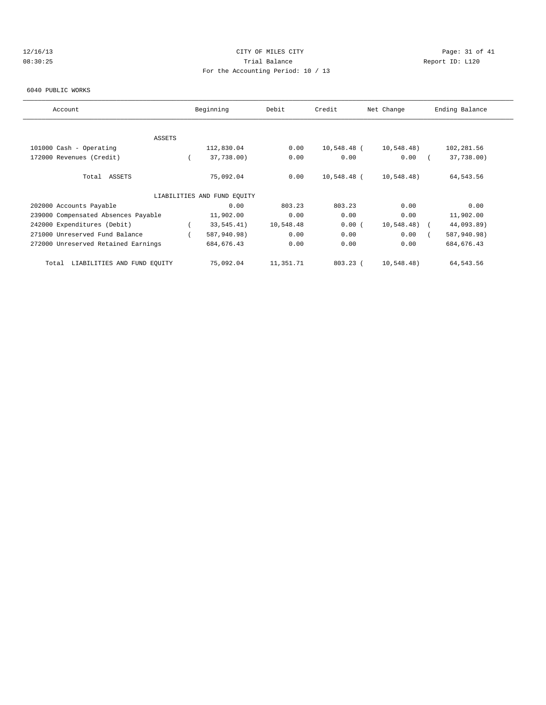# 12/16/13 Page: 31 of 41 08:30:25 Trial Balance Report ID: L120 For the Accounting Period: 10 / 13

#### 6040 PUBLIC WORKS

| Account                              | Beginning                   | Debit     | Credit      | Net Change | Ending Balance |  |
|--------------------------------------|-----------------------------|-----------|-------------|------------|----------------|--|
|                                      |                             |           |             |            |                |  |
| ASSETS                               |                             |           |             |            |                |  |
| 101000 Cash - Operating              | 112,830.04                  | 0.00      | 10,548.48 ( | 10,548.48) | 102,281.56     |  |
| 172000 Revenues (Credit)             | 37,738.00)                  | 0.00      | 0.00        | 0.00       | 37,738.00)     |  |
| Total ASSETS                         | 75,092.04                   | 0.00      | 10,548.48 ( | 10,548.48) | 64,543.56      |  |
|                                      | LIABILITIES AND FUND EQUITY |           |             |            |                |  |
| 202000 Accounts Payable              | 0.00                        | 803.23    | 803.23      | 0.00       | 0.00           |  |
| 239000 Compensated Absences Payable  | 11,902.00                   | 0.00      | 0.00        | 0.00       | 11,902.00      |  |
| 242000 Expenditures (Debit)          | 33,545.41)                  | 10,548.48 | 0.00(       | 10,548.48) | 44,093.89)     |  |
| 271000 Unreserved Fund Balance       | 587,940.98)                 | 0.00      | 0.00        | 0.00       | 587,940.98)    |  |
| 272000 Unreserved Retained Earnings  | 684, 676.43                 | 0.00      | 0.00        | 0.00       | 684, 676.43    |  |
| LIABILITIES AND FUND EQUITY<br>Total | 75,092.04                   | 11,351.71 | $803.23$ (  | 10,548.48) | 64,543.56      |  |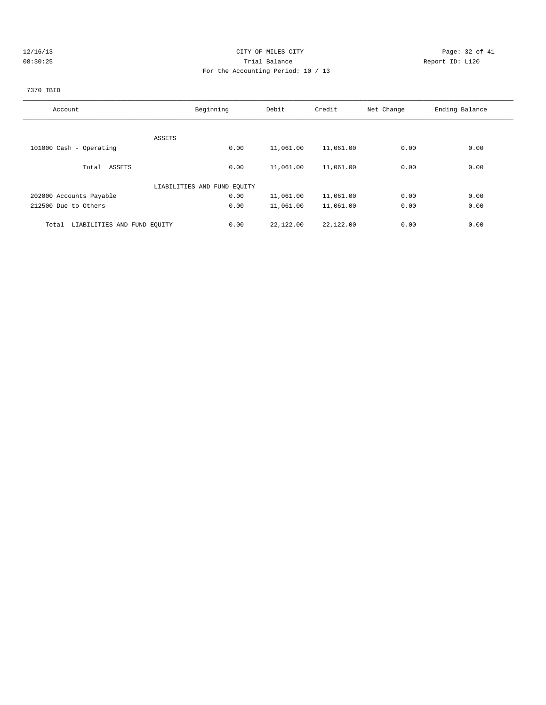# 12/16/13 Page: 32 of 41 08:30:25 Trial Balance Report ID: L120 For the Accounting Period: 10 / 13

# 7370 TBID

| Account                              | Beginning                   | Debit     | Credit    | Net Change | Ending Balance |
|--------------------------------------|-----------------------------|-----------|-----------|------------|----------------|
|                                      |                             |           |           |            |                |
|                                      | ASSETS                      |           |           |            |                |
| 101000 Cash - Operating              | 0.00                        | 11,061.00 | 11,061.00 | 0.00       | 0.00           |
|                                      |                             |           |           |            |                |
| Total ASSETS                         | 0.00                        | 11,061.00 | 11,061.00 | 0.00       | 0.00           |
|                                      | LIABILITIES AND FUND EQUITY |           |           |            |                |
| 202000 Accounts Payable              | 0.00                        | 11,061.00 | 11,061.00 | 0.00       | 0.00           |
| 212500 Due to Others                 | 0.00                        | 11,061.00 | 11,061.00 | 0.00       | 0.00           |
| LIABILITIES AND FUND EQUITY<br>Total | 0.00                        | 22,122.00 | 22,122.00 | 0.00       | 0.00           |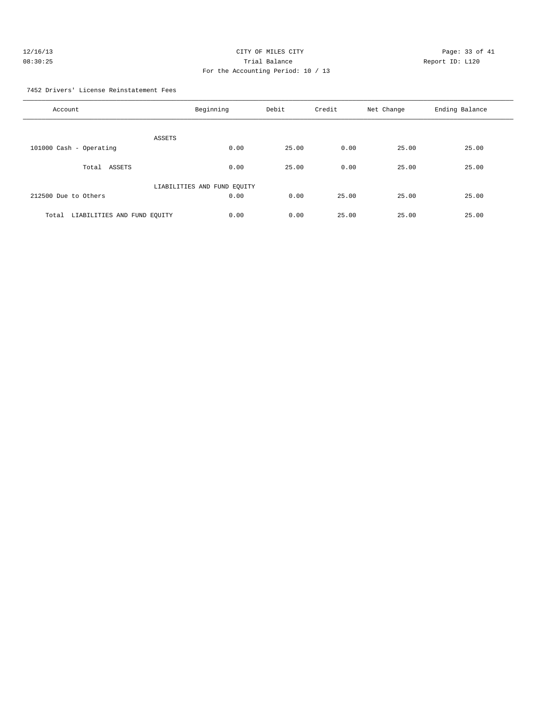| 12/16/13 | CITY OF MILES CITY                 | Page: 33 of 41  |
|----------|------------------------------------|-----------------|
| 08:30:25 | Trial Balance                      | Report ID: L120 |
|          | For the Accounting Period: 10 / 13 |                 |

7452 Drivers' License Reinstatement Fees

| Account                              | Beginning                   | Debit | Credit | Net Change | Ending Balance |
|--------------------------------------|-----------------------------|-------|--------|------------|----------------|
| ASSETS                               |                             |       |        |            |                |
| 101000 Cash - Operating              | 0.00                        | 25.00 | 0.00   | 25.00      | 25.00          |
| Total<br>ASSETS                      | 0.00                        | 25.00 | 0.00   | 25.00      | 25.00          |
|                                      | LIABILITIES AND FUND EQUITY |       |        |            |                |
| 212500 Due to Others                 | 0.00                        | 0.00  | 25.00  | 25.00      | 25.00          |
| LIABILITIES AND FUND EQUITY<br>Total | 0.00                        | 0.00  | 25.00  | 25.00      | 25.00          |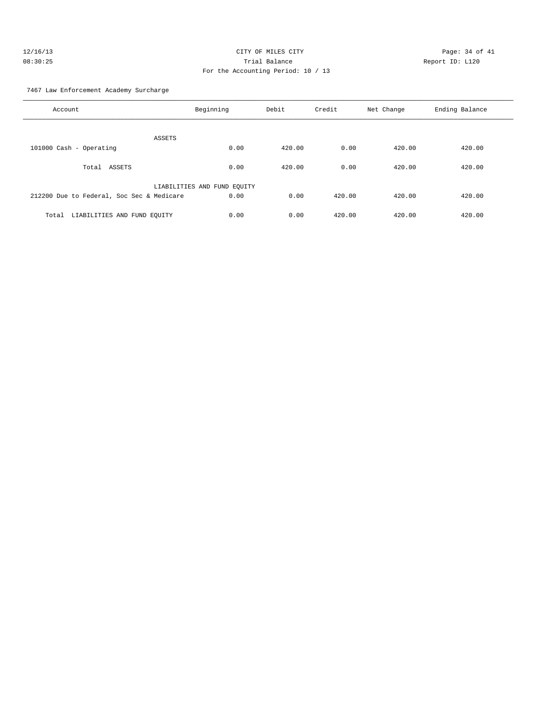# 7467 Law Enforcement Academy Surcharge

| Account                                   | Beginning                   | Debit  | Credit | Net Change | Ending Balance |
|-------------------------------------------|-----------------------------|--------|--------|------------|----------------|
| ASSETS                                    |                             |        |        |            |                |
| 101000 Cash - Operating                   | 0.00                        | 420.00 | 0.00   | 420.00     | 420.00         |
| Total ASSETS                              | 0.00                        | 420.00 | 0.00   | 420.00     | 420.00         |
|                                           | LIABILITIES AND FUND EQUITY |        |        |            |                |
| 212200 Due to Federal, Soc Sec & Medicare | 0.00                        | 0.00   | 420.00 | 420.00     | 420.00         |
| LIABILITIES AND FUND EQUITY<br>Total      | 0.00                        | 0.00   | 420.00 | 420.00     | 420.00         |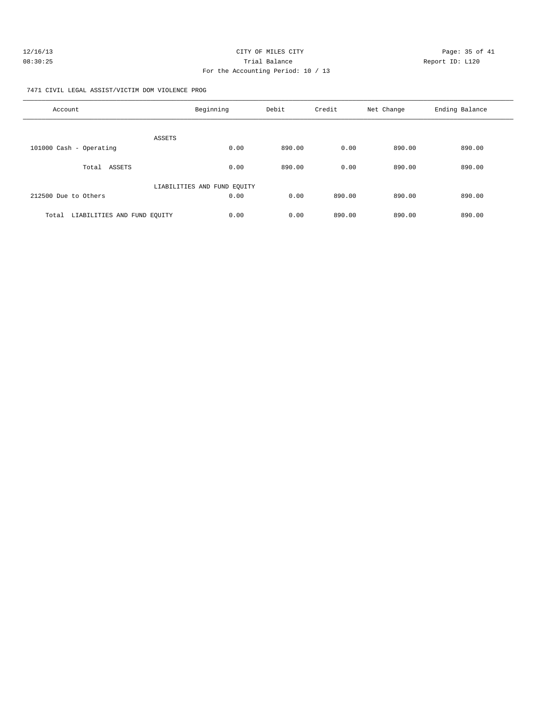| 12/16/13 | CITY OF MILES CITY                 | Page: 35 of 41  |
|----------|------------------------------------|-----------------|
| 08:30:25 | Trial Balance                      | Report ID: L120 |
|          | For the Accounting Period: 10 / 13 |                 |

7471 CIVIL LEGAL ASSIST/VICTIM DOM VIOLENCE PROG

| Account                              | Beginning                   | Debit  | Credit | Net Change | Ending Balance |
|--------------------------------------|-----------------------------|--------|--------|------------|----------------|
| <b>ASSETS</b>                        |                             |        |        |            |                |
| 101000 Cash - Operating              | 0.00                        | 890.00 | 0.00   | 890.00     | 890.00         |
| ASSETS<br>Total                      | 0.00                        | 890.00 | 0.00   | 890.00     | 890.00         |
|                                      | LIABILITIES AND FUND EQUITY |        |        |            |                |
| 212500 Due to Others                 | 0.00                        | 0.00   | 890.00 | 890.00     | 890.00         |
| LIABILITIES AND FUND EQUITY<br>Total | 0.00                        | 0.00   | 890.00 | 890.00     | 890.00         |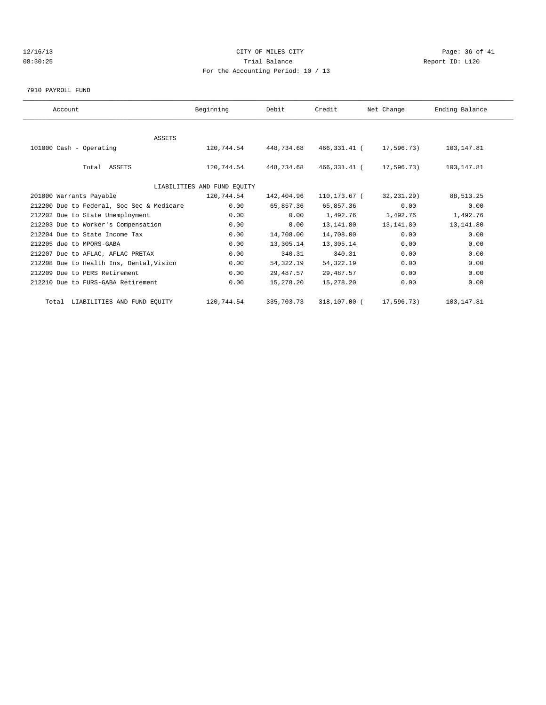# 12/16/13 Page: 36 of 41 08:30:25 Trial Balance Report ID: L120 For the Accounting Period: 10 / 13

7910 PAYROLL FUND

| Account                                   | Beginning                   | Debit      | Credit       | Net Change | Ending Balance |  |
|-------------------------------------------|-----------------------------|------------|--------------|------------|----------------|--|
|                                           |                             |            |              |            |                |  |
| <b>ASSETS</b>                             |                             |            |              |            |                |  |
| 101000 Cash - Operating                   | 120,744.54                  | 448,734.68 | 466,331.41 ( | 17,596.73) | 103,147.81     |  |
|                                           |                             |            |              |            |                |  |
| Total ASSETS                              | 120,744.54                  | 448,734.68 | 466,331.41 ( | 17,596.73) | 103,147.81     |  |
|                                           |                             |            |              |            |                |  |
|                                           | LIABILITIES AND FUND EQUITY |            |              |            |                |  |
| 201000 Warrants Payable                   | 120,744.54                  | 142,404.96 | 110,173.67 ( | 32,231.29) | 88, 513.25     |  |
| 212200 Due to Federal, Soc Sec & Medicare | 0.00                        | 65,857.36  | 65,857.36    | 0.00       | 0.00           |  |
| 212202 Due to State Unemployment          | 0.00                        | 0.00       | 1,492.76     | 1,492.76   | 1,492.76       |  |
| 212203 Due to Worker's Compensation       | 0.00                        | 0.00       | 13,141.80    | 13,141.80  | 13, 141.80     |  |
| 212204 Due to State Income Tax            | 0.00                        | 14,708.00  | 14,708.00    | 0.00       | 0.00           |  |
| 212205 due to MPORS-GABA                  | 0.00                        | 13,305.14  | 13,305.14    | 0.00       | 0.00           |  |
| 212207 Due to AFLAC, AFLAC PRETAX         | 0.00                        | 340.31     | 340.31       | 0.00       | 0.00           |  |
| 212208 Due to Health Ins, Dental, Vision  | 0.00                        | 54,322.19  | 54, 322. 19  | 0.00       | 0.00           |  |
| 212209 Due to PERS Retirement             | 0.00                        | 29,487.57  | 29, 487.57   | 0.00       | 0.00           |  |
| 212210 Due to FURS-GABA Retirement        | 0.00                        | 15,278.20  | 15,278.20    | 0.00       | 0.00           |  |
| Total LIABILITIES AND FUND EQUITY         | 120,744.54                  | 335,703.73 | 318,107.00 ( | 17,596.73) | 103, 147.81    |  |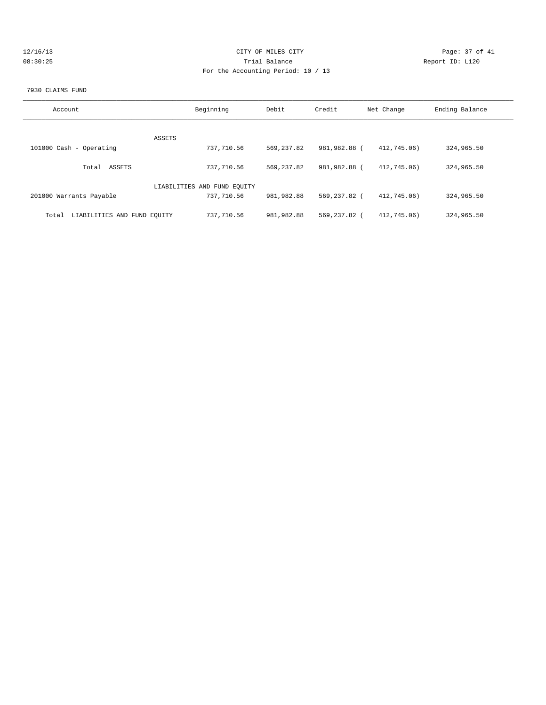| 12/16/13 | CITY OF MILES CITY                                                                                              | Page: 37 of 41  |
|----------|-----------------------------------------------------------------------------------------------------------------|-----------------|
| 08:30:25 | Trial Balance                                                                                                   | Report ID: L120 |
|          | the contract of the contract of the contract of the contract of the contract of the contract of the contract of |                 |

# For the Accounting Period: 10 / 13

#### 7930 CLAIMS FUND

| Account                              | Beginning                   | Debit        | Credit       | Net Change  | Ending Balance |
|--------------------------------------|-----------------------------|--------------|--------------|-------------|----------------|
|                                      |                             |              |              |             |                |
| ASSETS                               |                             |              |              |             |                |
| 101000 Cash - Operating              | 737,710.56                  | 569, 237, 82 | 981,982.88 ( | 412,745,06) | 324,965.50     |
| ASSETS<br>Total                      | 737,710.56                  | 569,237.82   | 981,982.88 ( | 412,745,06) | 324,965.50     |
|                                      | LIABILITIES AND FUND EQUITY |              |              |             |                |
| 201000 Warrants Payable              | 737,710.56                  | 981,982.88   | 569,237.82 ( | 412,745.06) | 324,965.50     |
| LIABILITIES AND FUND EQUITY<br>Total | 737,710.56                  | 981,982.88   | 569,237.82 ( | 412,745.06) | 324,965.50     |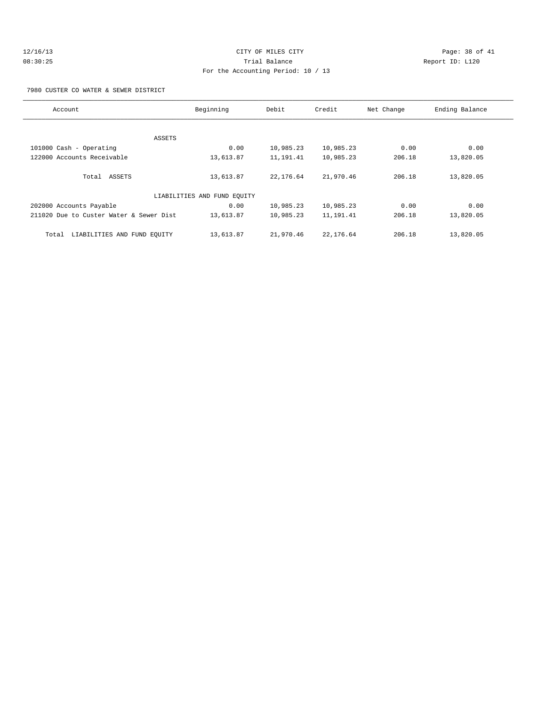# 12/16/13 Page: 38 of 41 08:30:25 Trial Balance Report ID: L120 For the Accounting Period: 10 / 13

7980 CUSTER CO WATER & SEWER DISTRICT

| Account                                 | Beginning                   | Debit     | Credit    | Net Change | Ending Balance |
|-----------------------------------------|-----------------------------|-----------|-----------|------------|----------------|
|                                         |                             |           |           |            |                |
|                                         | ASSETS                      |           |           |            |                |
| 101000 Cash - Operating                 | 0.00                        | 10,985.23 | 10,985.23 | 0.00       | 0.00           |
| 122000 Accounts Receivable              | 13,613.87                   | 11,191.41 | 10,985.23 | 206.18     | 13,820.05      |
|                                         |                             |           |           |            |                |
| Total ASSETS                            | 13,613.87                   | 22,176.64 | 21,970.46 | 206.18     | 13,820.05      |
|                                         |                             |           |           |            |                |
|                                         | LIABILITIES AND FUND EQUITY |           |           |            |                |
| 202000 Accounts Payable                 | 0.00                        | 10,985.23 | 10,985.23 | 0.00       | 0.00           |
| 211020 Due to Custer Water & Sewer Dist | 13,613.87                   | 10,985.23 | 11,191.41 | 206.18     | 13,820.05      |
|                                         |                             |           |           |            |                |
| LIABILITIES AND FUND EOUITY<br>Total    | 13,613.87                   | 21,970.46 | 22,176.64 | 206.18     | 13,820.05      |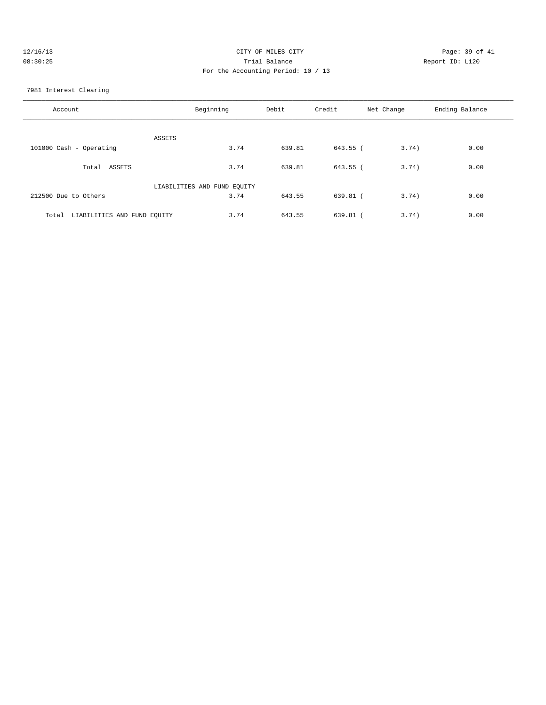| 12/16/13 | CITY OF MILES CITY                 | Page: 39 of 41  |
|----------|------------------------------------|-----------------|
| 08:30:25 | Trial Balance                      | Report ID: L120 |
|          | For the Accounting Period: 10 / 13 |                 |
|          |                                    |                 |

7981 Interest Clearing

| Account                              | Beginning                   | Debit  | Credit     | Net Change | Ending Balance |
|--------------------------------------|-----------------------------|--------|------------|------------|----------------|
| ASSETS                               |                             |        |            |            |                |
| 101000 Cash - Operating              | 3.74                        | 639.81 | 643.55 (   | 3.74)      | 0.00           |
| Total ASSETS                         | 3.74                        | 639.81 | 643.55 (   | 3.74)      | 0.00           |
|                                      | LIABILITIES AND FUND EQUITY |        |            |            |                |
| 212500 Due to Others                 | 3.74                        | 643.55 | $639.81$ ( | 3.74)      | 0.00           |
| LIABILITIES AND FUND EQUITY<br>Total | 3.74                        | 643.55 | 639.81 (   | 3.74)      | 0.00           |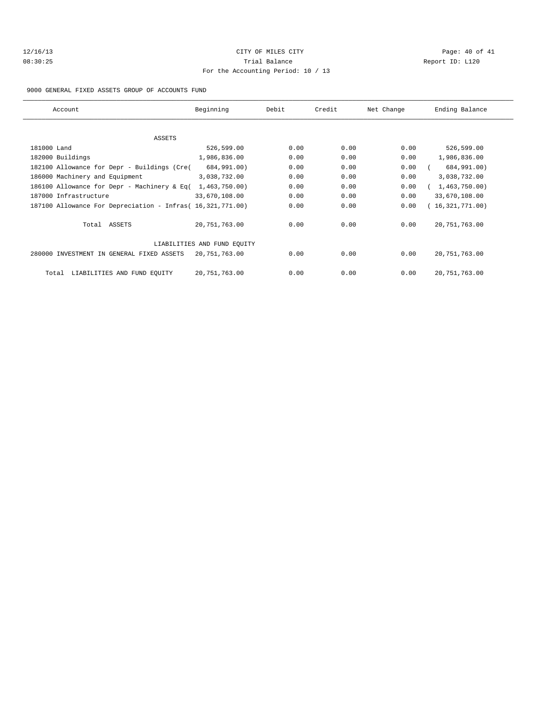# 12/16/13 Page: 40 of 41 08:30:25 Trial Balance Report ID: L120 For the Accounting Period: 10 / 13

9000 GENERAL FIXED ASSETS GROUP OF ACCOUNTS FUND

| Account                                                    | Beginning                   | Debit | Credit | Net Change | Ending Balance  |
|------------------------------------------------------------|-----------------------------|-------|--------|------------|-----------------|
|                                                            |                             |       |        |            |                 |
| ASSETS                                                     |                             |       |        |            |                 |
| 181000 Land                                                | 526,599.00                  | 0.00  | 0.00   | 0.00       | 526,599.00      |
| 182000 Buildings                                           | 1,986,836.00                | 0.00  | 0.00   | 0.00       | 1,986,836.00    |
| 182100 Allowance for Depr - Buildings (Cre(                | 684,991.00)                 | 0.00  | 0.00   | 0.00       | 684,991.00)     |
| 186000 Machinery and Equipment                             | 3,038,732.00                | 0.00  | 0.00   | 0.00       | 3,038,732.00    |
| 186100 Allowance for Depr - Machinery & Eq(                | 1,463,750.00)               | 0.00  | 0.00   | 0.00       | 1,463,750.00    |
| 187000 Infrastructure                                      | 33,670,108.00               | 0.00  | 0.00   | 0.00       | 33,670,108.00   |
| 187100 Allowance For Depreciation - Infras( 16,321,771.00) |                             | 0.00  | 0.00   | 0.00       | 16,321,771.00   |
| Total ASSETS                                               | 20,751,763.00               | 0.00  | 0.00   | 0.00       | 20, 751, 763.00 |
|                                                            | LIABILITIES AND FUND EOUITY |       |        |            |                 |
| 280000 INVESTMENT IN GENERAL FIXED ASSETS                  | 20,751,763.00               | 0.00  | 0.00   | 0.00       | 20, 751, 763.00 |
| LIABILITIES AND FUND EQUITY<br>Total                       | 20,751,763.00               | 0.00  | 0.00   | 0.00       | 20, 751, 763.00 |